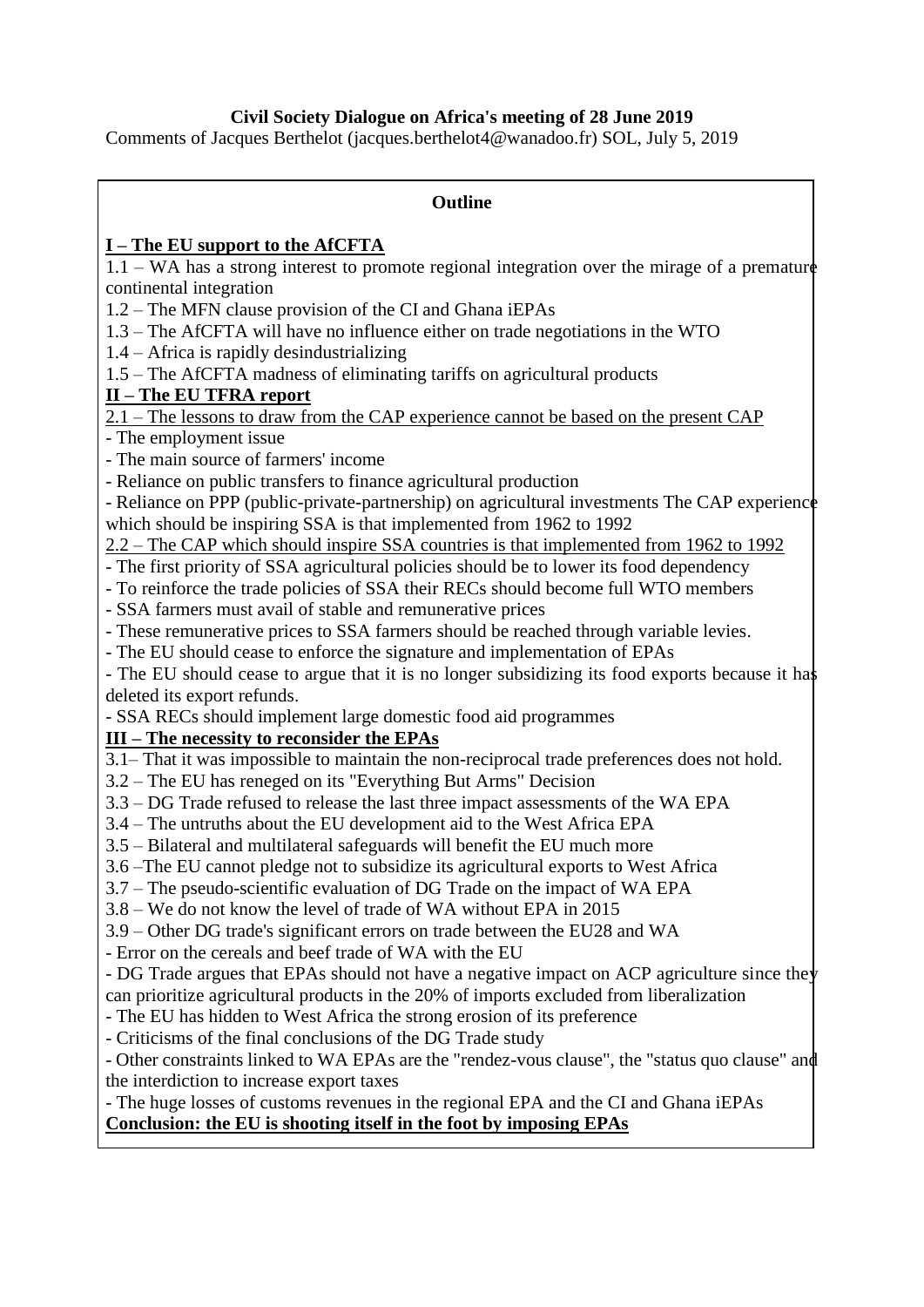# **Civil Society Dialogue on Africa's meeting of 28 June 2019**

Comments of Jacques Berthelot [\(jacques.berthelot4@wanadoo.fr\)](mailto:jacques.berthelot4@wanadoo.fr) SOL, July 5, 2019

## **Outline**

# **I – The EU support to the AfCFTA**

 $1.1 - WA$  has a strong interest to promote regional integration over the mirage of a premature continental integration

- 1.2 The MFN clause provision of the CI and Ghana iEPAs
- 1.3 The AfCFTA will have no influence either on trade negotiations in the WTO
- 1.4 Africa is rapidly desindustrializing
- 1.5 The AfCFTA madness of eliminating tariffs on agricultural products

## **II – The EU TFRA report**

2.1 – The lessons to draw from the CAP experience cannot be based on the present CAP

- The employment issue
- The main source of farmers' income
- Reliance on public transfers to finance agricultural production

- Reliance on PPP (public-private-partnership) on agricultural investments The CAP experience which should be inspiring SSA is that implemented from 1962 to 1992

2.2 – The CAP which should inspire SSA countries is that implemented from 1962 to 1992

- The first priority of SSA agricultural policies should be to lower its food dependency
- To reinforce the trade policies of SSA their RECs should become full WTO members
- SSA farmers must avail of stable and remunerative prices
- These remunerative prices to SSA farmers should be reached through variable levies.
- The EU should cease to enforce the signature and implementation of EPAs

- The EU should cease to argue that it is no longer subsidizing its food exports because it has deleted its export refunds.

- SSA RECs should implement large domestic food aid programmes

# **III – The necessity to reconsider the EPAs**

3.1– That it was impossible to maintain the non-reciprocal trade preferences does not hold.

- 3.2 The EU has reneged on its "Everything But Arms" Decision
- 3.3 DG Trade refused to release the last three impact assessments of the WA EPA
- 3.4 The untruths about the EU development aid to the West Africa EPA
- 3.5 Bilateral and multilateral safeguards will benefit the EU much more
- 3.6 –The EU cannot pledge not to subsidize its agricultural exports to West Africa
- 3.7 The pseudo-scientific evaluation of DG Trade on the impact of WA EPA
- 3.8 We do not know the level of trade of WA without EPA in 2015
- 3.9 Other DG trade's significant errors on trade between the EU28 and WA
- Error on the cereals and beef trade of WA with the EU

- DG Trade argues that EPAs should not have a negative impact on ACP agriculture since the can prioritize agricultural products in the 20% of imports excluded from liberalization

- The EU has hidden to West Africa the strong erosion of its preference
- Criticisms of the final conclusions of the DG Trade study

- Other constraints linked to WA EPAs are the "rendez-vous clause", the "status quo clause" and the interdiction to increase export taxes

- The huge losses of customs revenues in the regional EPA and the CI and Ghana iEPAs **Conclusion: the EU is shooting itself in the foot by imposing EPAs**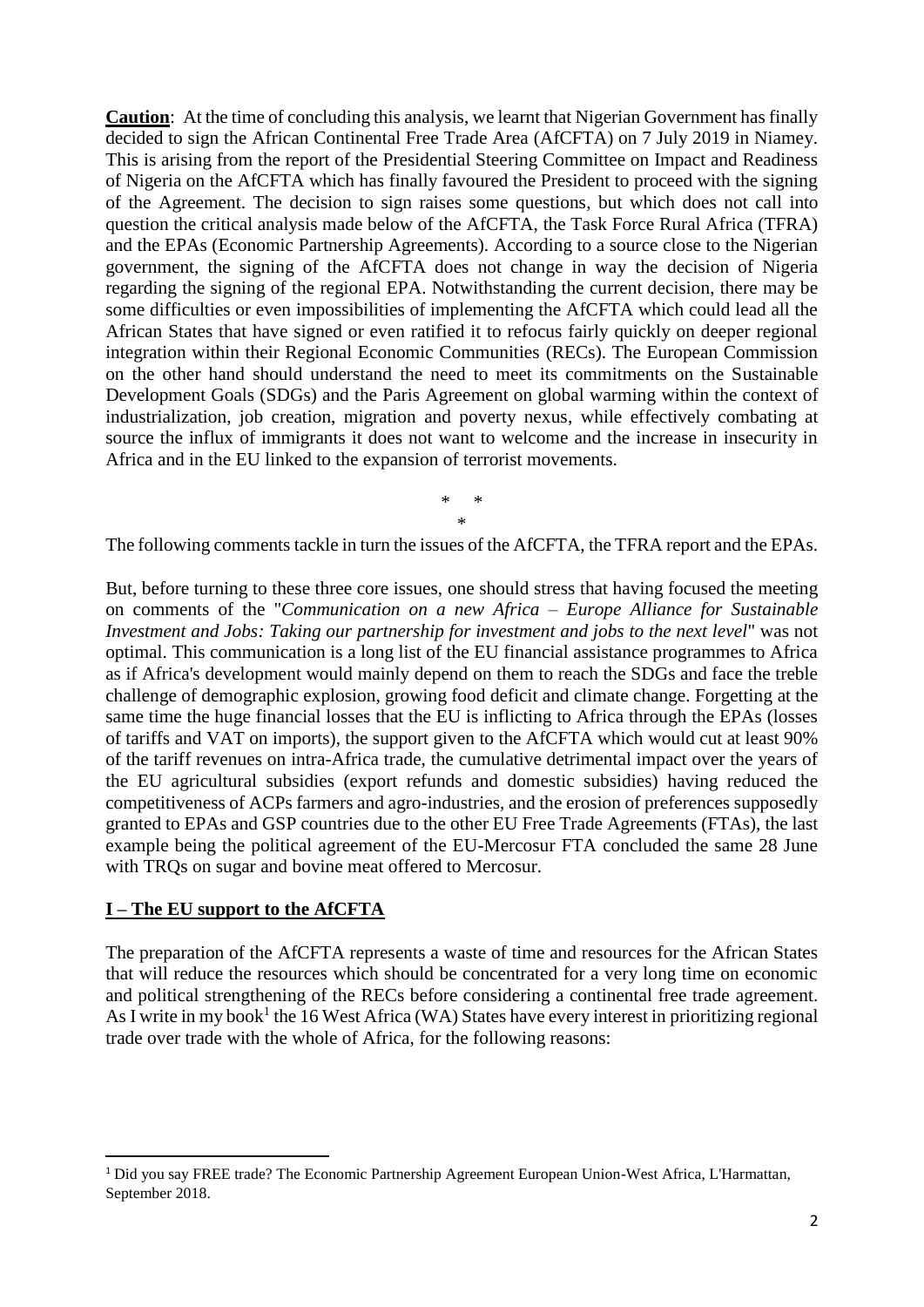**Caution**: At the time of concluding this analysis, we learnt that Nigerian Government has finally decided to sign the African Continental Free Trade Area (AfCFTA) on 7 July 2019 in Niamey. This is arising from the report of the Presidential Steering Committee on Impact and Readiness of Nigeria on the AfCFTA which has finally favoured the President to proceed with the signing of the Agreement. The decision to sign raises some questions, but which does not call into question the critical analysis made below of the AfCFTA, the Task Force Rural Africa (TFRA) and the EPAs (Economic Partnership Agreements). According to a source close to the Nigerian government, the signing of the AfCFTA does not change in way the decision of Nigeria regarding the signing of the regional EPA. Notwithstanding the current decision, there may be some difficulties or even impossibilities of implementing the AfCFTA which could lead all the African States that have signed or even ratified it to refocus fairly quickly on deeper regional integration within their Regional Economic Communities (RECs). The European Commission on the other hand should understand the need to meet its commitments on the Sustainable Development Goals (SDGs) and the Paris Agreement on global warming within the context of industrialization, job creation, migration and poverty nexus, while effectively combating at source the influx of immigrants it does not want to welcome and the increase in insecurity in Africa and in the EU linked to the expansion of terrorist movements.

> $\ast$ \*

The following comments tackle in turn the issues of the AfCFTA, the TFRA report and the EPAs.

But, before turning to these three core issues, one should stress that having focused the meeting on comments of the "*Communication on a new Africa – Europe Alliance for Sustainable Investment and Jobs: Taking our partnership for investment and jobs to the next level*" was not optimal. This communication is a long list of the EU financial assistance programmes to Africa as if Africa's development would mainly depend on them to reach the SDGs and face the treble challenge of demographic explosion, growing food deficit and climate change. Forgetting at the same time the huge financial losses that the EU is inflicting to Africa through the EPAs (losses of tariffs and VAT on imports), the support given to the AfCFTA which would cut at least 90% of the tariff revenues on intra-Africa trade, the cumulative detrimental impact over the years of the EU agricultural subsidies (export refunds and domestic subsidies) having reduced the competitiveness of ACPs farmers and agro-industries, and the erosion of preferences supposedly granted to EPAs and GSP countries due to the other EU Free Trade Agreements (FTAs), the last example being the political agreement of the EU-Mercosur FTA concluded the same 28 June with TRQs on sugar and bovine meat offered to Mercosur.

#### **I – The EU support to the AfCFTA**

 $\overline{\phantom{a}}$ 

The preparation of the AfCFTA represents a waste of time and resources for the African States that will reduce the resources which should be concentrated for a very long time on economic and political strengthening of the RECs before considering a continental free trade agreement. As I write in my book<sup>1</sup> the 16 West Africa (WA) States have every interest in prioritizing regional trade over trade with the whole of Africa, for the following reasons:

<sup>1</sup> Did you say FREE trade? The Economic Partnership Agreement European Union-West Africa, L'Harmattan, September 2018.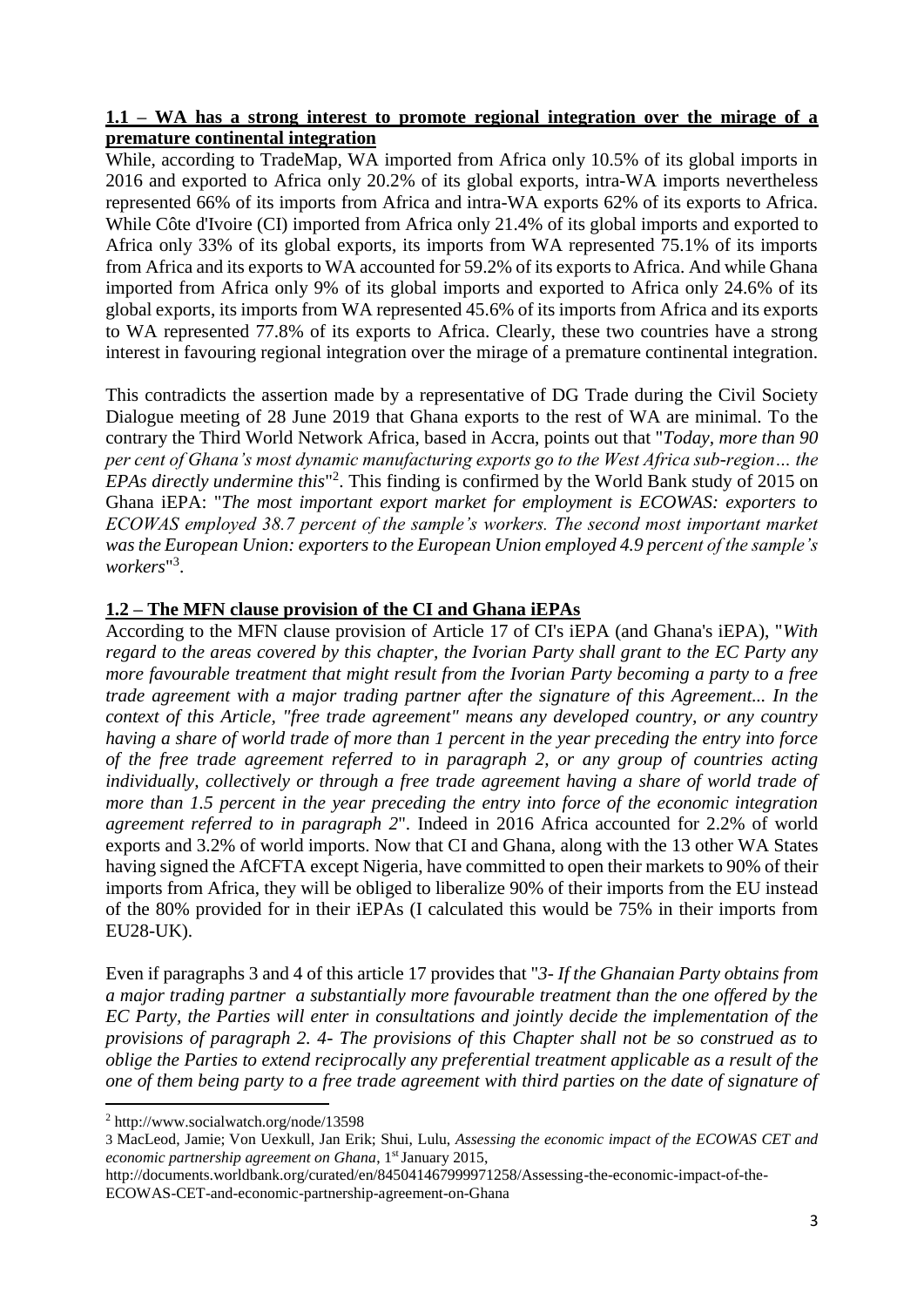#### **1.1 – WA has a strong interest to promote regional integration over the mirage of a premature continental integration**

While, according to TradeMap, WA imported from Africa only 10.5% of its global imports in 2016 and exported to Africa only 20.2% of its global exports, intra-WA imports nevertheless represented 66% of its imports from Africa and intra-WA exports 62% of its exports to Africa. While Côte d'Ivoire (CI) imported from Africa only 21.4% of its global imports and exported to Africa only 33% of its global exports, its imports from WA represented 75.1% of its imports from Africa and its exports to WA accounted for 59.2% of its exports to Africa. And while Ghana imported from Africa only 9% of its global imports and exported to Africa only 24.6% of its global exports, its imports from WA represented 45.6% of its imports from Africa and its exports to WA represented 77.8% of its exports to Africa. Clearly, these two countries have a strong interest in favouring regional integration over the mirage of a premature continental integration.

This contradicts the assertion made by a representative of DG Trade during the Civil Society Dialogue meeting of 28 June 2019 that Ghana exports to the rest of WA are minimal. To the contrary the Third World Network Africa, based in Accra, points out that "*Today, more than 90 per cent of Ghana's most dynamic manufacturing exports go to the West Africa sub-region… the EPAs directly undermine this*" 2 . This finding is confirmed by the World Bank study of 2015 on Ghana iEPA: "*The most important export market for employment is ECOWAS: exporters to ECOWAS employed 38.7 percent of the sample's workers. The second most important market was the European Union: exporters to the European Union employed 4.9 percent of the sample's workers*" 3 .

## **1.2 – The MFN clause provision of the CI and Ghana iEPAs**

According to the MFN clause provision of Article 17 of CI's iEPA (and Ghana's iEPA), "*With regard to the areas covered by this chapter, the Ivorian Party shall grant to the EC Party any more favourable treatment that might result from the Ivorian Party becoming a party to a free trade agreement with a major trading partner after the signature of this Agreement... In the context of this Article, "free trade agreement" means any developed country, or any country having a share of world trade of more than 1 percent in the year preceding the entry into force of the free trade agreement referred to in paragraph 2, or any group of countries acting individually, collectively or through a free trade agreement having a share of world trade of more than 1.5 percent in the year preceding the entry into force of the economic integration agreement referred to in paragraph 2*". Indeed in 2016 Africa accounted for 2.2% of world exports and 3.2% of world imports. Now that CI and Ghana, along with the 13 other WA States having signed the AfCFTA except Nigeria, have committed to open their markets to 90% of their imports from Africa, they will be obliged to liberalize 90% of their imports from the EU instead of the 80% provided for in their iEPAs (I calculated this would be 75% in their imports from EU28-UK).

Even if paragraphs 3 and 4 of this article 17 provides that "*3- If the Ghanaian Party obtains from a major trading partner a substantially more favourable treatment than the one offered by the EC Party, the Parties will enter in consultations and jointly decide the implementation of the provisions of paragraph 2. 4- The provisions of this Chapter shall not be so construed as to oblige the Parties to extend reciprocally any preferential treatment applicable as a result of the one of them being party to a free trade agreement with third parties on the date of signature of* 

 $\overline{\phantom{a}}$ 

<sup>2</sup> http://www.socialwatch.org/node/13598

<sup>3</sup> MacLeod, Jamie; Von [Uexkull,](http://documents.worldbank.org/curated/en/docsearch/author/m923878) Jan Erik; [Shui,](http://documents.worldbank.org/curated/en/docsearch/author/m942007) Lulu, *Assessing the economic impact of the ECOWAS CET and economic partnership agreement on Ghana*, 1<sup>st</sup> January 2015,

http://documents.worldbank.org/curated/en/845041467999971258/Assessing-the-economic-impact-of-the-ECOWAS-CET-and-economic-partnership-agreement-on-Ghana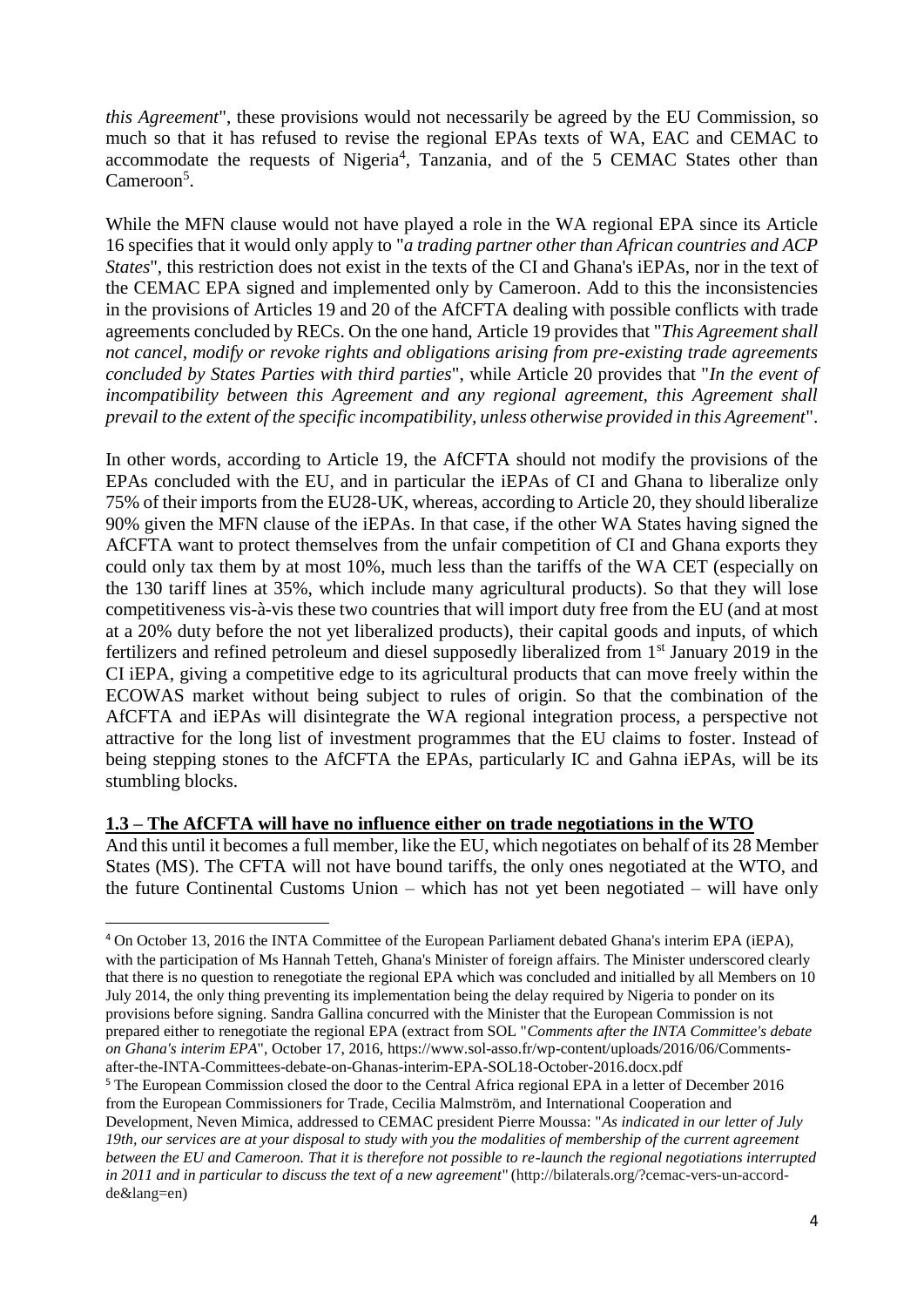*this Agreement*", these provisions would not necessarily be agreed by the EU Commission, so much so that it has refused to revise the regional EPAs texts of WA, EAC and CEMAC to accommodate the requests of Nigeria<sup>4</sup>, Tanzania, and of the 5 CEMAC States other than Cameroon<sup>5</sup>.

While the MFN clause would not have played a role in the WA regional EPA since its Article 16 specifies that it would only apply to "*a trading partner other than African countries and ACP States*", this restriction does not exist in the texts of the CI and Ghana's iEPAs, nor in the text of the CEMAC EPA signed and implemented only by Cameroon. Add to this the inconsistencies in the provisions of Articles 19 and 20 of the AfCFTA dealing with possible conflicts with trade agreements concluded by RECs. On the one hand, Article 19 provides that "*This Agreement shall not cancel, modify or revoke rights and obligations arising from pre-existing trade agreements concluded by States Parties with third parties*", while Article 20 provides that "*In the event of incompatibility between this Agreement and any regional agreement, this Agreement shall prevail to the extent of the specific incompatibility, unless otherwise provided in this Agreement*".

In other words, according to Article 19, the AfCFTA should not modify the provisions of the EPAs concluded with the EU, and in particular the iEPAs of CI and Ghana to liberalize only 75% of their imports from the EU28-UK, whereas, according to Article 20, they should liberalize 90% given the MFN clause of the iEPAs. In that case, if the other WA States having signed the AfCFTA want to protect themselves from the unfair competition of CI and Ghana exports they could only tax them by at most 10%, much less than the tariffs of the WA CET (especially on the 130 tariff lines at 35%, which include many agricultural products). So that they will lose competitiveness vis-à-vis these two countries that will import duty free from the EU (and at most at a 20% duty before the not yet liberalized products), their capital goods and inputs, of which fertilizers and refined petroleum and diesel supposedly liberalized from 1st January 2019 in the CI iEPA, giving a competitive edge to its agricultural products that can move freely within the ECOWAS market without being subject to rules of origin. So that the combination of the AfCFTA and iEPAs will disintegrate the WA regional integration process, a perspective not attractive for the long list of investment programmes that the EU claims to foster. Instead of being stepping stones to the AfCFTA the EPAs, particularly IC and Gahna iEPAs, will be its stumbling blocks.

## **1.3 – The AfCFTA will have no influence either on trade negotiations in the WTO**

 $\overline{a}$ 

And this until it becomes a full member, like the EU, which negotiates on behalf of its 28 Member States (MS). The CFTA will not have bound tariffs, the only ones negotiated at the WTO, and the future Continental Customs Union – which has not yet been negotiated – will have only

<sup>4</sup> On October 13, 2016 the INTA Committee of the European Parliament debated Ghana's interim EPA (iEPA), with the participation of Ms Hannah Tetteh, Ghana's Minister of foreign affairs. The Minister underscored clearly that there is no question to renegotiate the regional EPA which was concluded and initialled by all Members on 10 July 2014, the only thing preventing its implementation being the delay required by Nigeria to ponder on its provisions before signing. Sandra Gallina concurred with the Minister that the European Commission is not prepared either to renegotiate the regional EPA (extract from SOL "*Comments after the INTA Committee's debate on Ghana's interim EPA*", October 17, 2016, [https://www.sol-asso.fr/wp-content/uploads/2016/06/Comments](https://www.sol-asso.fr/wp-content/uploads/2016/06/Comments-after-the-INTA-Committees-debate-on-Ghanas-interim-EPA-SOL18-October-2016.docx.pdf)[after-the-INTA-Committees-debate-on-Ghanas-interim-EPA-SOL18-October-2016.docx.pdf](https://www.sol-asso.fr/wp-content/uploads/2016/06/Comments-after-the-INTA-Committees-debate-on-Ghanas-interim-EPA-SOL18-October-2016.docx.pdf) <sup>5</sup> The European Commission closed the door to the Central Africa regional EPA in a letter of December 2016 from the European Commissioners for Trade, Cecilia Malmström, and International Cooperation and

Development, Neven Mimica, addressed to CEMAC president Pierre Moussa: "*As indicated in our letter of July*  19th, our services are at your disposal to study with you the modalities of membership of the current agreement *between the EU and Cameroon. That it is therefore not possible to re-launch the regional negotiations interrupted in 2011 and in particular to discuss the text of a new agreement*" (http://bilaterals.org/?cemac-vers-un-accordde&lang=en)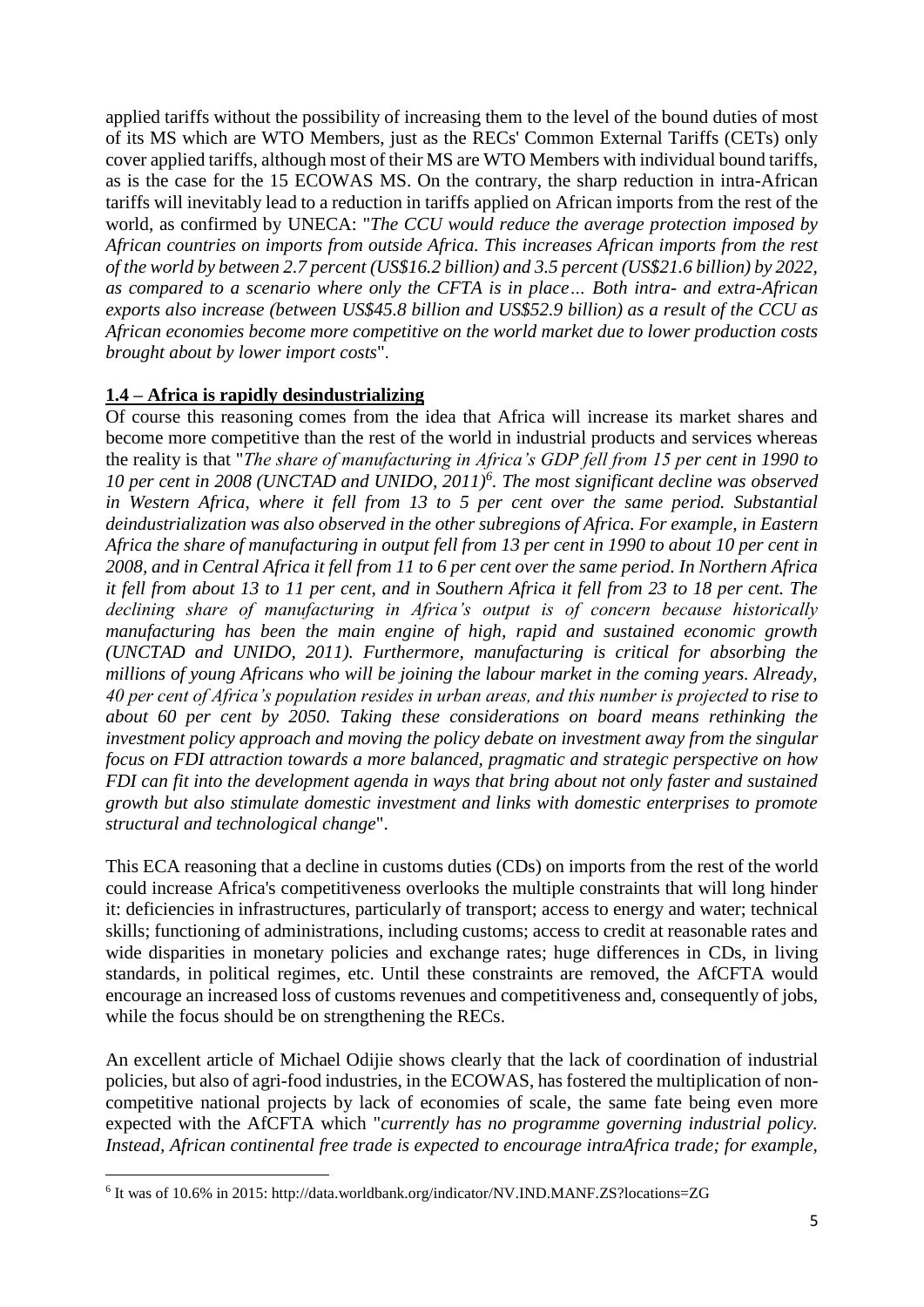applied tariffs without the possibility of increasing them to the level of the bound duties of most of its MS which are WTO Members, just as the RECs' Common External Tariffs (CETs) only cover applied tariffs, although most of their MS are WTO Members with individual bound tariffs, as is the case for the 15 ECOWAS MS. On the contrary, the sharp reduction in intra-African tariffs will inevitably lead to a reduction in tariffs applied on African imports from the rest of the world, as confirmed by UNECA: "*The CCU would reduce the average protection imposed by African countries on imports from outside Africa. This increases African imports from the rest of the world by between 2.7 percent (US\$16.2 billion) and 3.5 percent (US\$21.6 billion) by 2022, as compared to a scenario where only the CFTA is in place… Both intra- and extra-African exports also increase (between US\$45.8 billion and US\$52.9 billion) as a result of the CCU as African economies become more competitive on the world market due to lower production costs brought about by lower import costs*".

# **1.4 – Africa is rapidly desindustrializing**

Of course this reasoning comes from the idea that Africa will increase its market shares and become more competitive than the rest of the world in industrial products and services whereas the reality is that "*The share of manufacturing in Africa's GDP fell from 15 per cent in 1990 to 10 per cent in 2008 (UNCTAD and UNIDO, 2011)<sup>6</sup> . The most significant decline was observed in Western Africa, where it fell from 13 to 5 per cent over the same period. Substantial deindustrialization was also observed in the other subregions of Africa. For example, in Eastern Africa the share of manufacturing in output fell from 13 per cent in 1990 to about 10 per cent in 2008, and in Central Africa it fell from 11 to 6 per cent over the same period. In Northern Africa it fell from about 13 to 11 per cent, and in Southern Africa it fell from 23 to 18 per cent. The declining share of manufacturing in Africa's output is of concern because historically manufacturing has been the main engine of high, rapid and sustained economic growth (UNCTAD and UNIDO, 2011). Furthermore, manufacturing is critical for absorbing the millions of young Africans who will be joining the labour market in the coming years. Already, 40 per cent of Africa's population resides in urban areas, and this number is projected to rise to about 60 per cent by 2050. Taking these considerations on board means rethinking the investment policy approach and moving the policy debate on investment away from the singular focus on FDI attraction towards a more balanced, pragmatic and strategic perspective on how FDI can fit into the development agenda in ways that bring about not only faster and sustained growth but also stimulate domestic investment and links with domestic enterprises to promote structural and technological change*".

This ECA reasoning that a decline in customs duties (CDs) on imports from the rest of the world could increase Africa's competitiveness overlooks the multiple constraints that will long hinder it: deficiencies in infrastructures, particularly of transport; access to energy and water; technical skills; functioning of administrations, including customs; access to credit at reasonable rates and wide disparities in monetary policies and exchange rates; huge differences in CDs, in living standards, in political regimes, etc. Until these constraints are removed, the AfCFTA would encourage an increased loss of customs revenues and competitiveness and, consequently of jobs, while the focus should be on strengthening the RECs.

An excellent article of Michael Odijie shows clearly that the lack of coordination of industrial policies, but also of agri-food industries, in the ECOWAS, has fostered the multiplication of noncompetitive national projects by lack of economies of scale, the same fate being even more expected with the AfCFTA which "*currently has no programme governing industrial policy. Instead, African continental free trade is expected to encourage intraAfrica trade; for example,* 

l <sup>6</sup> It was of 10.6% in 2015: http://data.worldbank.org/indicator/NV.IND.MANF.ZS?locations=ZG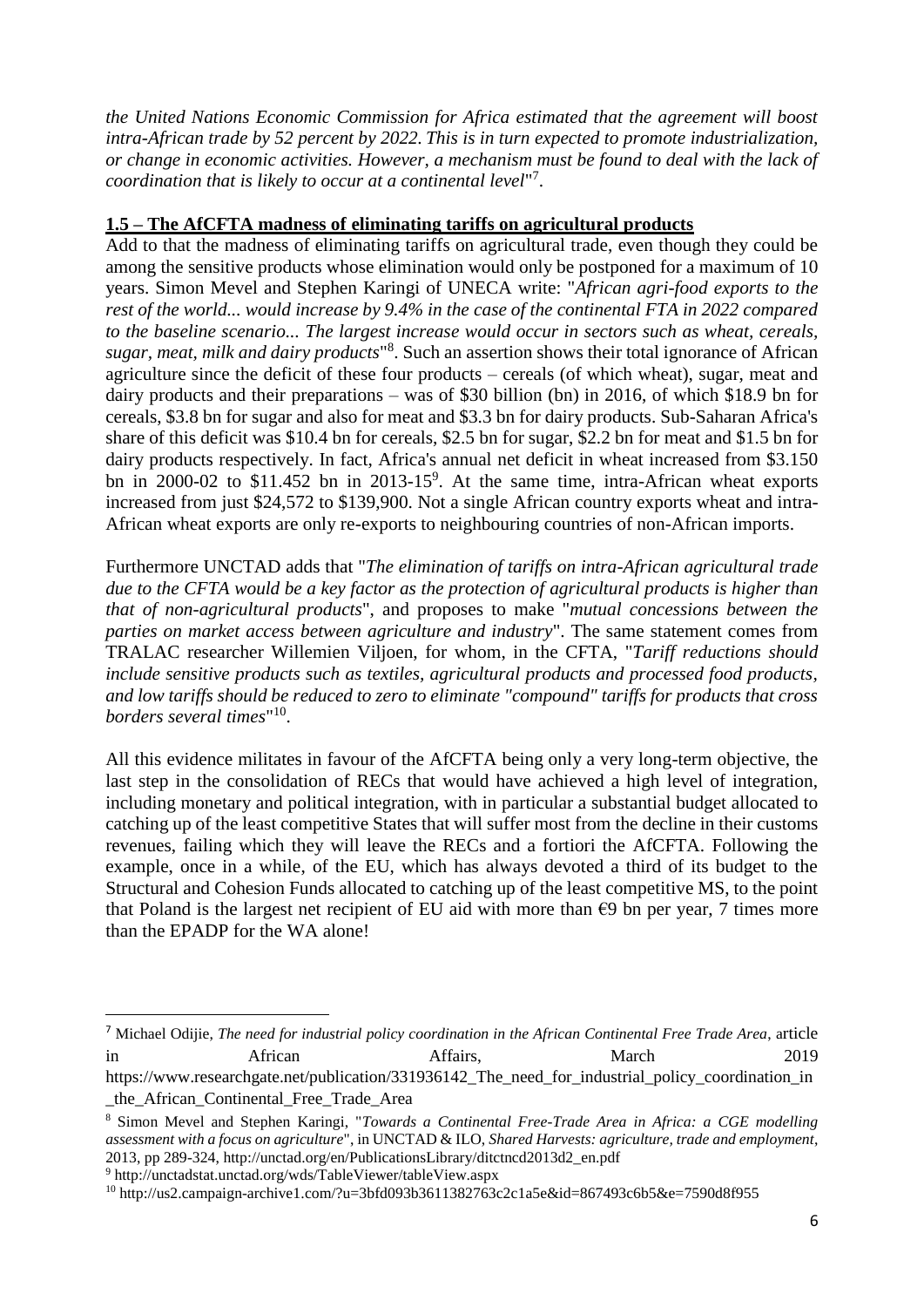*the United Nations Economic Commission for Africa estimated that the agreement will boost intra-African trade by 52 percent by 2022. This is in turn expected to promote industrialization, or change in economic activities. However, a mechanism must be found to deal with the lack of coordination that is likely to occur at a continental level*" 7 .

## **1.5 – The AfCFTA madness of eliminating tariffs on agricultural products**

Add to that the madness of eliminating tariffs on agricultural trade, even though they could be among the sensitive products whose elimination would only be postponed for a maximum of 10 years. Simon Mevel and Stephen Karingi of UNECA write: "*African agri-food exports to the rest of the world... would increase by 9.4% in the case of the continental FTA in 2022 compared to the baseline scenario... The largest increase would occur in sectors such as wheat, cereals, sugar, meat, milk and dairy products*" 8 . Such an assertion shows their total ignorance of African agriculture since the deficit of these four products – cereals (of which wheat), sugar, meat and dairy products and their preparations – was of \$30 billion (bn) in 2016, of which \$18.9 bn for cereals, \$3.8 bn for sugar and also for meat and \$3.3 bn for dairy products. Sub-Saharan Africa's share of this deficit was \$10.4 bn for cereals, \$2.5 bn for sugar, \$2.2 bn for meat and \$1.5 bn for dairy products respectively. In fact, Africa's annual net deficit in wheat increased from \$3.150 bn in 2000-02 to \$11.452 bn in 2013-15<sup>9</sup>. At the same time, intra-African wheat exports increased from just \$24,572 to \$139,900. Not a single African country exports wheat and intra-African wheat exports are only re-exports to neighbouring countries of non-African imports.

Furthermore UNCTAD adds that "*The elimination of tariffs on intra-African agricultural trade due to the CFTA would be a key factor as the protection of agricultural products is higher than that of non-agricultural products*", and proposes to make "*mutual concessions between the parties on market access between agriculture and industry*". The same statement comes from TRALAC researcher Willemien Viljoen, for whom, in the CFTA, "*Tariff reductions should include sensitive products such as textiles, agricultural products and processed food products, and low tariffs should be reduced to zero to eliminate "compound" tariffs for products that cross borders several times*" 10 .

All this evidence militates in favour of the AfCFTA being only a very long-term objective, the last step in the consolidation of RECs that would have achieved a high level of integration, including monetary and political integration, with in particular a substantial budget allocated to catching up of the least competitive States that will suffer most from the decline in their customs revenues, failing which they will leave the RECs and a fortiori the AfCFTA. Following the example, once in a while, of the EU, which has always devoted a third of its budget to the Structural and Cohesion Funds allocated to catching up of the least competitive MS, to the point that Poland is the largest net recipient of EU aid with more than  $\epsilon$ 9 bn per year, 7 times more than the EPADP for the WA alone!

 $\overline{\phantom{a}}$ 

<sup>7</sup> [Michael Odijie,](https://www.researchgate.net/profile/Michael_Odijie?enrichId=rgreq-20664cce5b931e647324fbdf5cf858a0-XXX&enrichSource=Y292ZXJQYWdlOzMzMTkzNjE0MjtBUzo3Mzg5MDEyNDExMDIzMzhAMTU1MzE3OTE5MjYwNA%3D%3D&el=1_x_5&_esc=publicationCoverPdf) *[The need for industrial policy coordination in the African Continental Free Trade Area](https://www.researchgate.net/publication/331936142_The_need_for_industrial_policy_coordination_in_the_African_Continental_Free_Trade_Area?enrichId=rgreq-20664cce5b931e647324fbdf5cf858a0-XXX&enrichSource=Y292ZXJQYWdlOzMzMTkzNjE0MjtBUzo3Mzg5MDEyNDExMDIzMzhAMTU1MzE3OTE5MjYwNA%3D%3D&el=1_x_3&_esc=publicationCoverPdf)*, article in African Affairs, March 2019

[https://www.researchgate.net/publication/331936142\\_The\\_need\\_for\\_industrial\\_policy\\_coordination\\_in](https://www.researchgate.net/publication/331936142_The_need_for_industrial_policy_coordination_in_the_African_Continental_Free_Trade_Area) [\\_the\\_African\\_Continental\\_Free\\_Trade\\_Area](https://www.researchgate.net/publication/331936142_The_need_for_industrial_policy_coordination_in_the_African_Continental_Free_Trade_Area)

<sup>8</sup> Simon Mevel and Stephen Karingi, "*Towards a Continental Free-Trade Area in Africa: a CGE modelling assessment with a focus on agriculture*", in UNCTAD & ILO, *Shared Harvests: agriculture, trade and employment*, 2013, pp 289-324, http://unctad.org/en/PublicationsLibrary/ditctncd2013d2\_en.pdf

<sup>9</sup> http://unctadstat.unctad.org/wds/TableViewer/tableView.aspx

<sup>10</sup> http://us2.campaign-archive1.com/?u=3bfd093b3611382763c2c1a5e&id=867493c6b5&e=7590d8f955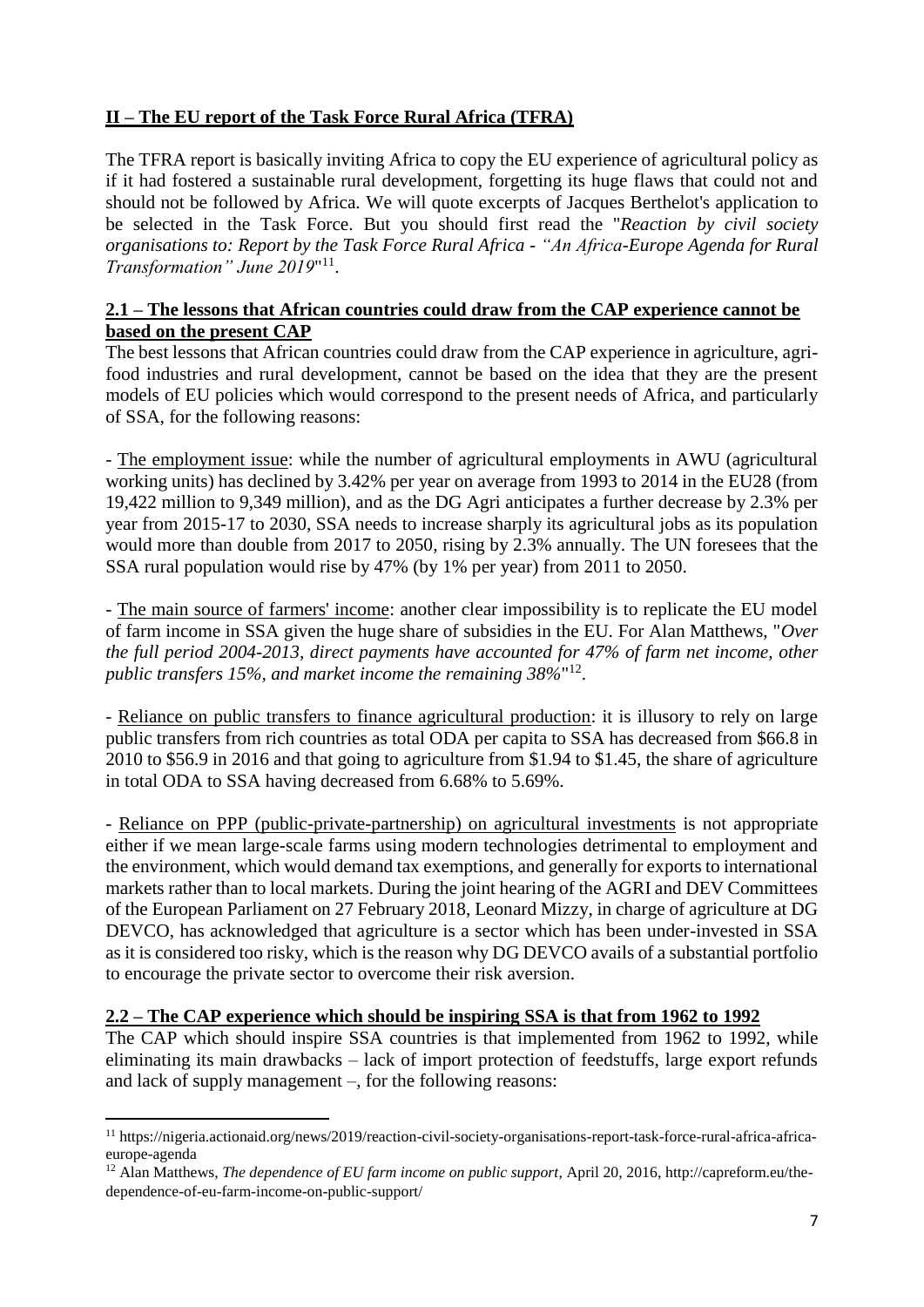# **II – The EU report of the Task Force Rural Africa (TFRA)**

The TFRA report is basically inviting Africa to copy the EU experience of agricultural policy as if it had fostered a sustainable rural development, forgetting its huge flaws that could not and should not be followed by Africa. We will quote excerpts of Jacques Berthelot's application to be selected in the Task Force. But you should first read the "*Reaction by civil society organisations to: Report by the Task Force Rural Africa - "An Africa-Europe Agenda for Rural*  Transformation" June 2019"<sup>11</sup>.

## **2.1 – The lessons that African countries could draw from the CAP experience cannot be based on the present CAP**

The best lessons that African countries could draw from the CAP experience in agriculture, agrifood industries and rural development, cannot be based on the idea that they are the present models of EU policies which would correspond to the present needs of Africa, and particularly of SSA, for the following reasons:

- The employment issue: while the number of agricultural employments in AWU (agricultural working units) has declined by 3.42% per year on average from 1993 to 2014 in the EU28 (from 19,422 million to 9,349 million), and as the DG Agri anticipates a further decrease by 2.3% per year from 2015-17 to 2030, SSA needs to increase sharply its agricultural jobs as its population would more than double from 2017 to 2050, rising by 2.3% annually. The UN foresees that the SSA rural population would rise by 47% (by 1% per year) from 2011 to 2050.

- The main source of farmers' income: another clear impossibility is to replicate the EU model of farm income in SSA given the huge share of subsidies in the EU. For Alan Matthews, "*Over the full period 2004-2013, direct payments have accounted for 47% of farm net income, other public transfers 15%, and market income the remaining 38%*" 12 .

- Reliance on public transfers to finance agricultural production: it is illusory to rely on large public transfers from rich countries as total ODA per capita to SSA has decreased from \$66.8 in 2010 to \$56.9 in 2016 and that going to agriculture from \$1.94 to \$1.45, the share of agriculture in total ODA to SSA having decreased from 6.68% to 5.69%.

- Reliance on PPP (public-private-partnership) on agricultural investments is not appropriate either if we mean large-scale farms using modern technologies detrimental to employment and the environment, which would demand tax exemptions, and generally for exports to international markets rather than to local markets. During the joint hearing of the AGRI and DEV Committees of the European Parliament on 27 February 2018, Leonard Mizzy, in charge of agriculture at DG DEVCO, has acknowledged that agriculture is a sector which has been under-invested in SSA as it is considered too risky, which is the reason why DG DEVCO avails of a substantial portfolio to encourage the private sector to overcome their risk aversion.

## **2.2 – The CAP experience which should be inspiring SSA is that from 1962 to 1992**

l

The CAP which should inspire SSA countries is that implemented from 1962 to 1992, while eliminating its main drawbacks – lack of import protection of feedstuffs, large export refunds and lack of supply management –, for the following reasons:

<sup>11</sup> [https://nigeria.actionaid.org/news/2019/reaction-civil-society-organisations-report-task-force-rural-africa-africa](https://nigeria.actionaid.org/news/2019/reaction-civil-society-organisations-report-task-force-rural-africa-africa-europe-agenda)[europe-agenda](https://nigeria.actionaid.org/news/2019/reaction-civil-society-organisations-report-task-force-rural-africa-africa-europe-agenda)

<sup>12</sup> Alan Matthews, *The dependence of EU farm income on public support*, April 20, 2016, http://capreform.eu/thedependence-of-eu-farm-income-on-public-support/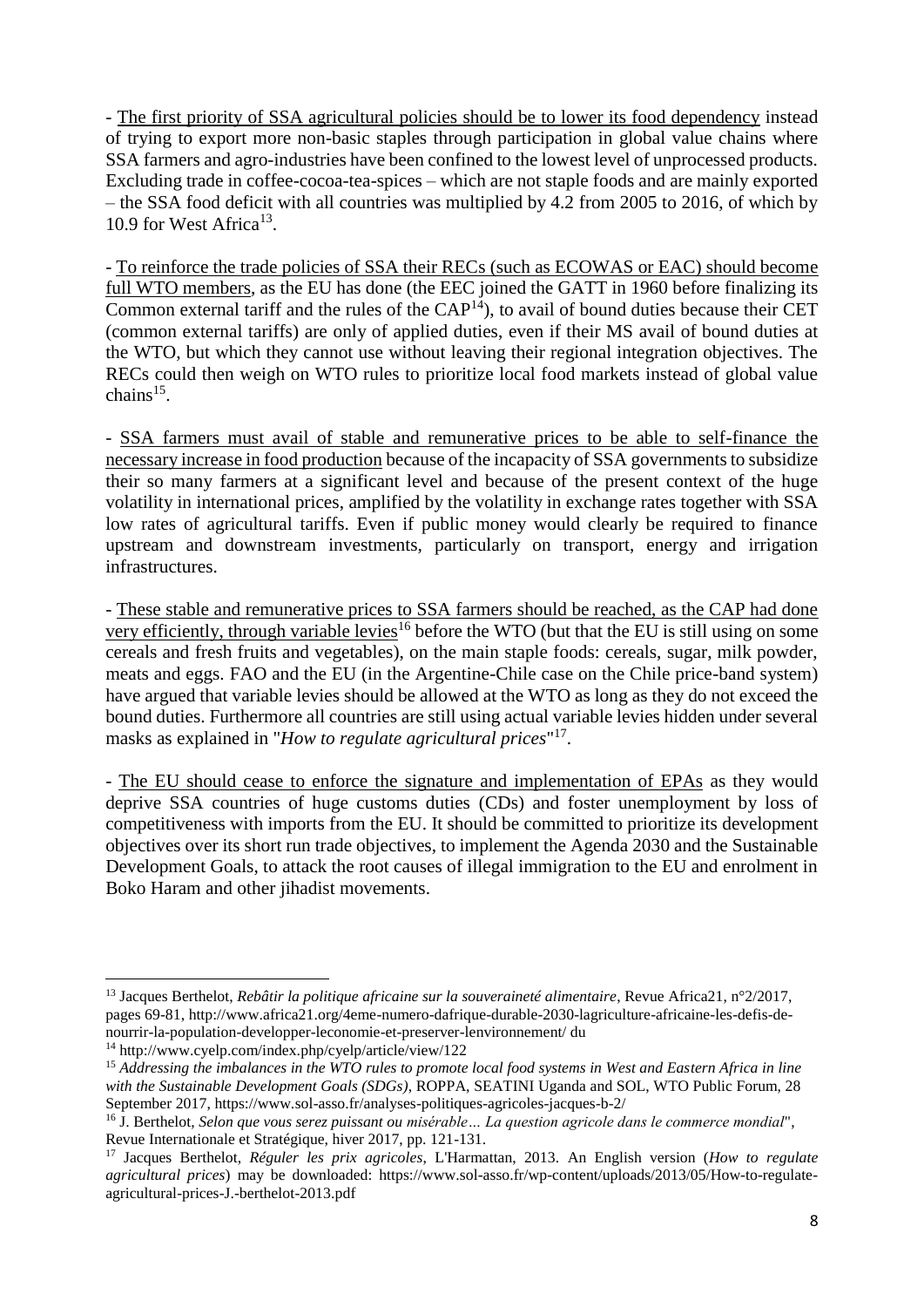- The first priority of SSA agricultural policies should be to lower its food dependency instead of trying to export more non-basic staples through participation in global value chains where SSA farmers and agro-industries have been confined to the lowest level of unprocessed products. Excluding trade in coffee-cocoa-tea-spices – which are not staple foods and are mainly exported – the SSA food deficit with all countries was multiplied by 4.2 from 2005 to 2016, of which by 10.9 for West Africa<sup>13</sup>.

- To reinforce the trade policies of SSA their RECs (such as ECOWAS or EAC) should become full WTO members, as the EU has done (the EEC joined the GATT in 1960 before finalizing its Common external tariff and the rules of the  $CAP<sup>14</sup>$ ), to avail of bound duties because their CET (common external tariffs) are only of applied duties, even if their MS avail of bound duties at the WTO, but which they cannot use without leaving their regional integration objectives. The RECs could then weigh on WTO rules to prioritize local food markets instead of global value  $\text{chains}^{15}$ .

- SSA farmers must avail of stable and remunerative prices to be able to self-finance the necessary increase in food production because of the incapacity of SSA governments to subsidize their so many farmers at a significant level and because of the present context of the huge volatility in international prices, amplified by the volatility in exchange rates together with SSA low rates of agricultural tariffs. Even if public money would clearly be required to finance upstream and downstream investments, particularly on transport, energy and irrigation infrastructures.

- These stable and remunerative prices to SSA farmers should be reached, as the CAP had done very efficiently, through variable levies<sup>16</sup> before the WTO (but that the EU is still using on some cereals and fresh fruits and vegetables), on the main staple foods: cereals, sugar, milk powder, meats and eggs. FAO and the EU (in the Argentine-Chile case on the Chile price-band system) have argued that variable levies should be allowed at the WTO as long as they do not exceed the bound duties. Furthermore all countries are still using actual variable levies hidden under several masks as explained in "*How to regulate agricultural prices*" 17 .

- The EU should cease to enforce the signature and implementation of EPAs as they would deprive SSA countries of huge customs duties (CDs) and foster unemployment by loss of competitiveness with imports from the EU. It should be committed to prioritize its development objectives over its short run trade objectives, to implement the Agenda 2030 and the Sustainable Development Goals, to attack the root causes of illegal immigration to the EU and enrolment in Boko Haram and other jihadist movements.

 $\overline{a}$ 

<sup>13</sup> Jacques Berthelot, *Rebâtir la politique africaine sur la souveraineté alimentaire*, Revue Africa21, n°2/2017, pages 69-81, http://www.africa21.org/4eme-numero-dafrique-durable-2030-lagriculture-africaine-les-defis-denourrir-la-population-developper-leconomie-et-preserver-lenvironnement/ du

<sup>14</sup> http://www.cyelp.com/index.php/cyelp/article/view/122

<sup>15</sup> *Addressing the imbalances in the WTO rules to promote local food systems in West and Eastern Africa in line with the Sustainable Development Goals (SDGs)*, ROPPA, SEATINI Uganda and SOL, WTO Public Forum, 28 September 2017, https://www.sol-asso.fr/analyses-politiques-agricoles-jacques-b-2/

<sup>16</sup> J. Berthelot, *Selon que vous serez puissant ou misérable… La question agricole dans le commerce mondial*", Revue Internationale et Stratégique, hiver 2017, pp. 121-131.

<sup>17</sup> Jacques Berthelot, *Réguler les prix agricoles*, L'Harmattan, 2013. An English version (*How to regulate agricultural prices*) may be downloaded: https://www.sol-asso.fr/wp-content/uploads/2013/05/How-to-regulateagricultural-prices-J.-berthelot-2013.pdf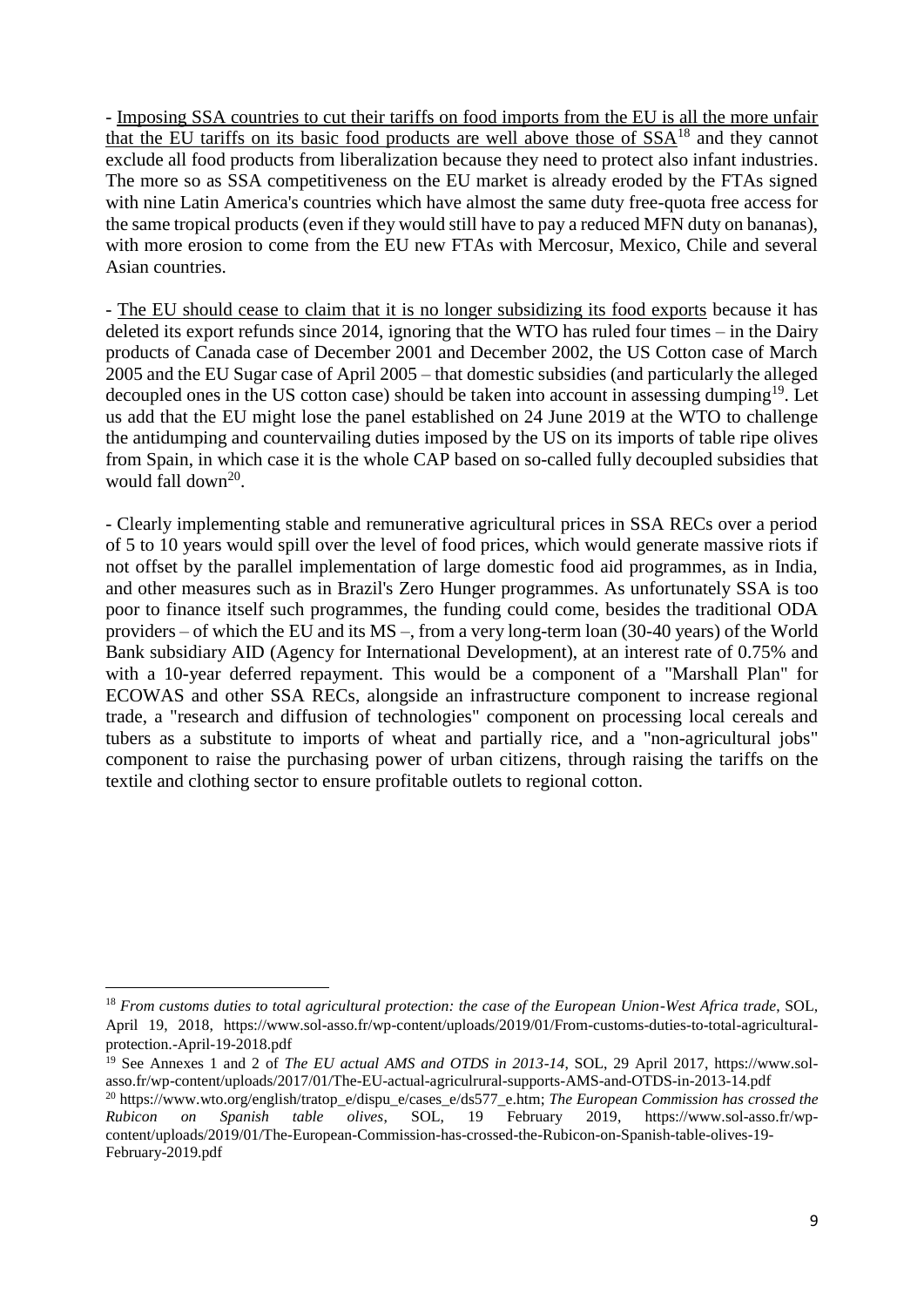- Imposing SSA countries to cut their tariffs on food imports from the EU is all the more unfair that the EU tariffs on its basic food products are well above those of SSA<sup>18</sup> and they cannot exclude all food products from liberalization because they need to protect also infant industries. The more so as SSA competitiveness on the EU market is already eroded by the FTAs signed with nine Latin America's countries which have almost the same duty free-quota free access for the same tropical products (even if they would still have to pay a reduced MFN duty on bananas), with more erosion to come from the EU new FTAs with Mercosur, Mexico, Chile and several Asian countries.

- The EU should cease to claim that it is no longer subsidizing its food exports because it has deleted its export refunds since 2014, ignoring that the WTO has ruled four times – in the Dairy products of Canada case of December 2001 and December 2002, the US Cotton case of March 2005 and the EU Sugar case of April 2005 – that domestic subsidies (and particularly the alleged decoupled ones in the US cotton case) should be taken into account in assessing dumping<sup>19</sup>. Let us add that the EU might lose the panel established on 24 June 2019 at the WTO to challenge the antidumping and countervailing duties imposed by the US on its imports of table ripe olives from Spain, in which case it is the whole CAP based on so-called fully decoupled subsidies that would fall down<sup>20</sup>.

- Clearly implementing stable and remunerative agricultural prices in SSA RECs over a period of 5 to 10 years would spill over the level of food prices, which would generate massive riots if not offset by the parallel implementation of large domestic food aid programmes, as in India, and other measures such as in Brazil's Zero Hunger programmes. As unfortunately SSA is too poor to finance itself such programmes, the funding could come, besides the traditional ODA providers – of which the EU and its MS –, from a very long-term loan (30-40 years) of the World Bank subsidiary AID (Agency for International Development), at an interest rate of 0.75% and with a 10-year deferred repayment. This would be a component of a "Marshall Plan" for ECOWAS and other SSA RECs, alongside an infrastructure component to increase regional trade, a "research and diffusion of technologies" component on processing local cereals and tubers as a substitute to imports of wheat and partially rice, and a "non-agricultural jobs" component to raise the purchasing power of urban citizens, through raising the tariffs on the textile and clothing sector to ensure profitable outlets to regional cotton.

l

<sup>18</sup> *From customs duties to total agricultural protection: the case of the European Union-West Africa trade*, SOL, April 19, 2018, [https://www.sol-asso.fr/wp-content/uploads/2019/01/From-customs-duties-to-total-agricultural](https://www.sol-asso.fr/wp-content/uploads/2019/01/From-customs-duties-to-total-agricultural-protection.-April-19-2018.pdf)[protection.-April-19-2018.pdf](https://www.sol-asso.fr/wp-content/uploads/2019/01/From-customs-duties-to-total-agricultural-protection.-April-19-2018.pdf)

<sup>19</sup> See Annexes 1 and 2 of *The EU actual AMS and OTDS in 2013-14*, SOL, 29 April 2017, https://www.solasso.fr/wp-content/uploads/2017/01/The-EU-actual-agriculrural-supports-AMS-and-OTDS-in-2013-14.pdf

<sup>20</sup> [https://www.wto.org/english/tratop\\_e/dispu\\_e/cases\\_e/ds577\\_e.htm;](https://www.wto.org/english/tratop_e/dispu_e/cases_e/ds577_e.htm) *The European Commission has crossed the Rubicon on Spanish table olives*, SOL, 19 February 2019, [https://www.sol-asso.fr/wp](https://www.sol-asso.fr/wp-content/uploads/2019/01/The-European-Commission-has-crossed-the-Rubicon-on-Spanish-table-olives-19-February-2019.pdf)[content/uploads/2019/01/The-European-Commission-has-crossed-the-Rubicon-on-Spanish-table-olives-19-](https://www.sol-asso.fr/wp-content/uploads/2019/01/The-European-Commission-has-crossed-the-Rubicon-on-Spanish-table-olives-19-February-2019.pdf) [February-2019.pdf](https://www.sol-asso.fr/wp-content/uploads/2019/01/The-European-Commission-has-crossed-the-Rubicon-on-Spanish-table-olives-19-February-2019.pdf)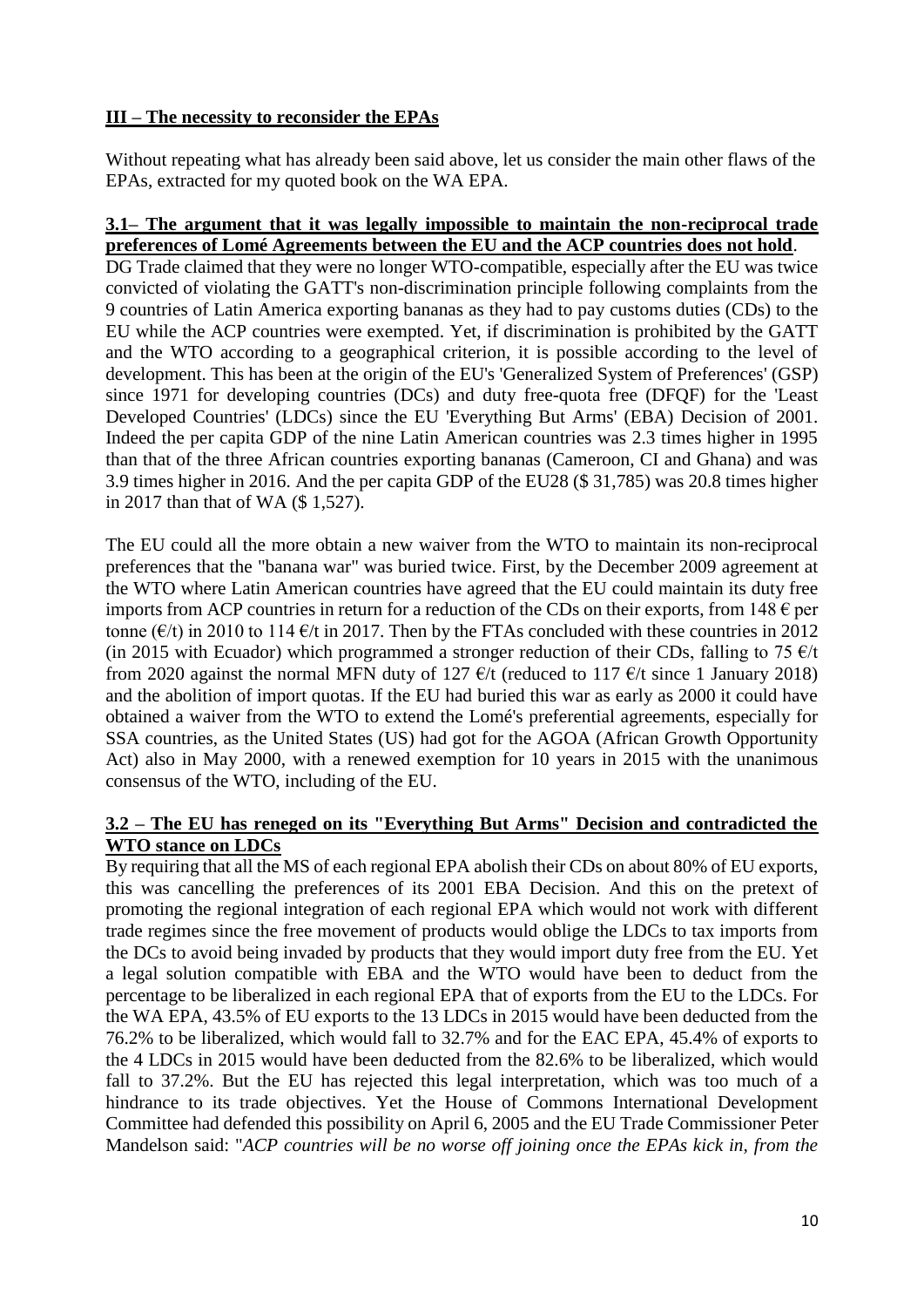## **III – The necessity to reconsider the EPAs**

Without repeating what has already been said above, let us consider the main other flaws of the EPAs, extracted for my quoted book on the WA EPA.

#### **3.1– The argument that it was legally impossible to maintain the non-reciprocal trade preferences of Lomé Agreements between the EU and the ACP countries does not hold**.

DG Trade claimed that they were no longer WTO-compatible, especially after the EU was twice convicted of violating the GATT's non-discrimination principle following complaints from the 9 countries of Latin America exporting bananas as they had to pay customs duties (CDs) to the EU while the ACP countries were exempted. Yet, if discrimination is prohibited by the GATT and the WTO according to a geographical criterion, it is possible according to the level of development. This has been at the origin of the EU's 'Generalized System of Preferences' (GSP) since 1971 for developing countries (DCs) and duty free-quota free (DFQF) for the 'Least Developed Countries' (LDCs) since the EU 'Everything But Arms' (EBA) Decision of 2001. Indeed the per capita GDP of the nine Latin American countries was 2.3 times higher in 1995 than that of the three African countries exporting bananas (Cameroon, CI and Ghana) and was 3.9 times higher in 2016. And the per capita GDP of the EU28 (\$ 31,785) was 20.8 times higher in 2017 than that of WA (\$ 1,527).

The EU could all the more obtain a new waiver from the WTO to maintain its non-reciprocal preferences that the "banana war" was buried twice. First, by the December 2009 agreement at the WTO where Latin American countries have agreed that the EU could maintain its duty free imports from ACP countries in return for a reduction of the CDs on their exports, from 148  $\epsilon$  per tonne ( $\epsilon$ /t) in 2010 to 114  $\epsilon$ /t in 2017. Then by the FTAs concluded with these countries in 2012 (in 2015 with Ecuador) which programmed a stronger reduction of their CDs, falling to 75  $\epsilon/t$ from 2020 against the normal MFN duty of 127  $\epsilon$ /t (reduced to 117  $\epsilon$ /t since 1 January 2018) and the abolition of import quotas. If the EU had buried this war as early as 2000 it could have obtained a waiver from the WTO to extend the Lomé's preferential agreements, especially for SSA countries, as the United States (US) had got for the AGOA (African Growth Opportunity Act) also in May 2000, with a renewed exemption for 10 years in 2015 with the unanimous consensus of the WTO, including of the EU.

## **3.2 – The EU has reneged on its "Everything But Arms" Decision and contradicted the WTO stance on LDCs**

By requiring that all the MS of each regional EPA abolish their CDs on about 80% of EU exports, this was cancelling the preferences of its 2001 EBA Decision. And this on the pretext of promoting the regional integration of each regional EPA which would not work with different trade regimes since the free movement of products would oblige the LDCs to tax imports from the DCs to avoid being invaded by products that they would import duty free from the EU. Yet a legal solution compatible with EBA and the WTO would have been to deduct from the percentage to be liberalized in each regional EPA that of exports from the EU to the LDCs. For the WA EPA, 43.5% of EU exports to the 13 LDCs in 2015 would have been deducted from the 76.2% to be liberalized, which would fall to 32.7% and for the EAC EPA, 45.4% of exports to the 4 LDCs in 2015 would have been deducted from the 82.6% to be liberalized, which would fall to 37.2%. But the EU has rejected this legal interpretation, which was too much of a hindrance to its trade objectives. Yet the House of Commons International Development Committee had defended this possibility on April 6, 2005 and the EU Trade Commissioner Peter Mandelson said: "*ACP countries will be no worse off joining once the EPAs kick in, from the*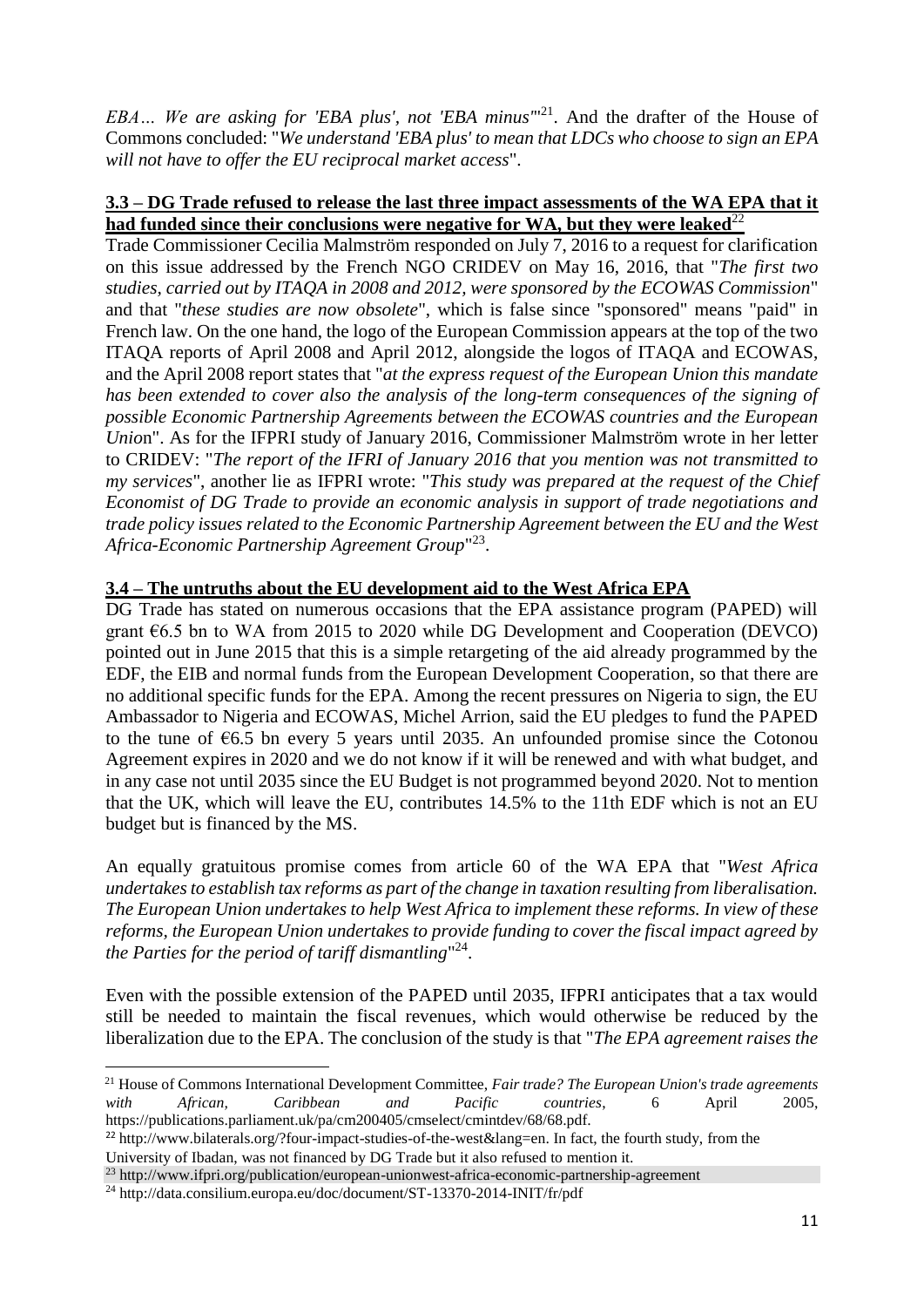*EBA… We are asking for 'EBA plus', not 'EBA minus'*" <sup>21</sup>. And the drafter of the House of Commons concluded: "*We understand 'EBA plus' to mean that LDCs who choose to sign an EPA will not have to offer the EU reciprocal market access*".

### **3.3 – DG Trade refused to release the last three impact assessments of the WA EPA that it**  had funded since their conclusions were negative for WA, but they were leaked<sup>22</sup>

Trade Commissioner Cecilia Malmström responded on July 7, 2016 to a request for clarification on this issue addressed by the French NGO CRIDEV on May 16, 2016, that "*The first two studies, carried out by ITAQA in 2008 and 2012, were sponsored by the ECOWAS Commission*" and that "*these studies are now obsolete*", which is false since "sponsored" means "paid" in French law. On the one hand, the logo of the European Commission appears at the top of the two ITAQA reports of April 2008 and April 2012, alongside the logos of ITAQA and ECOWAS, and the April 2008 report states that "*at the express request of the European Union this mandate*  has been extended to cover also the analysis of the long-term consequences of the signing of *possible Economic Partnership Agreements between the ECOWAS countries and the European Unio*n". As for the IFPRI study of January 2016, Commissioner Malmström wrote in her letter to CRIDEV: "*The report of the IFRI of January 2016 that you mention was not transmitted to my services*", another lie as IFPRI wrote: "*This study was prepared at the request of the Chief Economist of DG Trade to provide an economic analysis in support of trade negotiations and trade policy issues related to the Economic Partnership Agreement between the EU and the West Africa-Economic Partnership Agreement Group*" 23 .

## **3.4 – The untruths about the EU development aid to the West Africa EPA**

DG Trade has stated on numerous occasions that the EPA assistance program (PAPED) will grant  $66.5$  bn to WA from 2015 to 2020 while DG Development and Cooperation (DEVCO) pointed out in June 2015 that this is a simple retargeting of the aid already programmed by the EDF, the EIB and normal funds from the European Development Cooperation, so that there are no additional specific funds for the EPA. Among the recent pressures on Nigeria to sign, the EU Ambassador to Nigeria and ECOWAS, Michel Arrion, said the EU pledges to fund the PAPED to the tune of  $\epsilon$ 6.5 bn every 5 years until 2035. An unfounded promise since the Cotonou Agreement expires in 2020 and we do not know if it will be renewed and with what budget, and in any case not until 2035 since the EU Budget is not programmed beyond 2020. Not to mention that the UK, which will leave the EU, contributes 14.5% to the 11th EDF which is not an EU budget but is financed by the MS.

An equally gratuitous promise comes from article 60 of the WA EPA that "*West Africa undertakes to establish tax reforms as part of the change in taxation resulting from liberalisation. The European Union undertakes to help West Africa to implement these reforms. In view of these reforms, the European Union undertakes to provide funding to cover the fiscal impact agreed by the Parties for the period of tariff dismantling*" 24 .

Even with the possible extension of the PAPED until 2035, IFPRI anticipates that a tax would still be needed to maintain the fiscal revenues, which would otherwise be reduced by the liberalization due to the EPA. The conclusion of the study is that "*The EPA agreement raises the* 

l

<sup>21</sup> House of Commons International Development Committee, *Fair trade? The European Union's trade agreements with African, Caribbean and Pacific countries*, 6 April 2005, https://publications.parliament.uk/pa/cm200405/cmselect/cmintdev/68/68.pdf.

<sup>&</sup>lt;sup>22</sup> [http://www.bilaterals.org/?four-impact-studies-of-the-west&lang=en.](http://www.bilaterals.org/?four-impact-studies-of-the-west&lang=en) In fact, the fourth study, from the University of Ibadan, was not financed by DG Trade but it also refused to mention it.

<sup>&</sup>lt;sup>23</sup> http://www.ifpri.org/publication/european-unionwest-africa-economic-partnership-agreement

<sup>24</sup> http://data.consilium.europa.eu/doc/document/ST-13370-2014-INIT/fr/pdf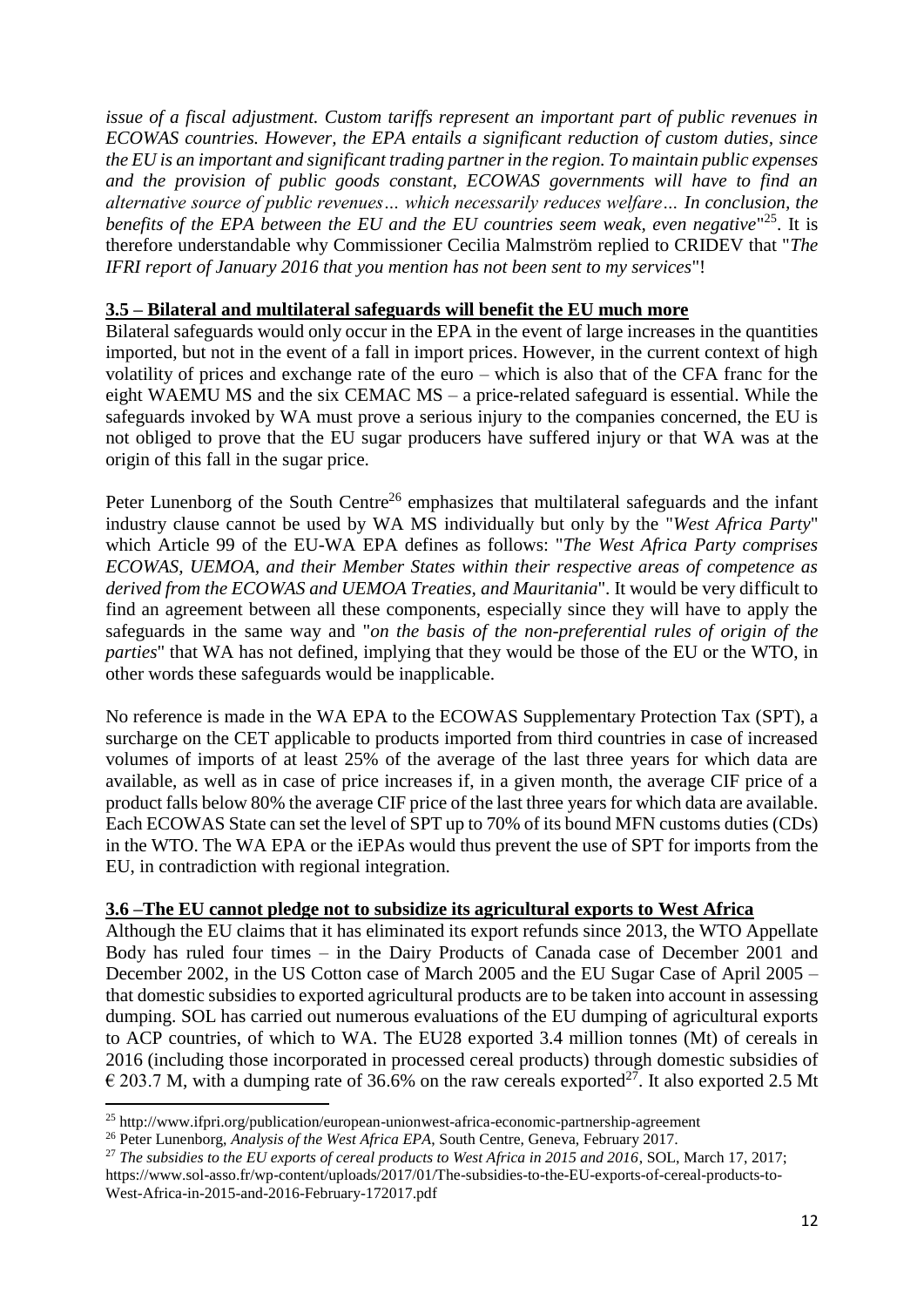*issue of a fiscal adjustment. Custom tariffs represent an important part of public revenues in ECOWAS countries. However, the EPA entails a significant reduction of custom duties, since the EU is an important and significant trading partner in the region. To maintain public expenses and the provision of public goods constant, ECOWAS governments will have to find an alternative source of public revenues… which necessarily reduces welfare… In conclusion, the*  benefits of the EPA between the EU and the EU countries seem weak, even negative<sup>"25</sup>. It is therefore understandable why Commissioner Cecilia Malmström replied to CRIDEV that "*The IFRI report of January 2016 that you mention has not been sent to my services*"!

#### **3.5 – Bilateral and multilateral safeguards will benefit the EU much more**

Bilateral safeguards would only occur in the EPA in the event of large increases in the quantities imported, but not in the event of a fall in import prices. However, in the current context of high volatility of prices and exchange rate of the euro – which is also that of the CFA franc for the eight WAEMU MS and the six CEMAC MS – a price-related safeguard is essential. While the safeguards invoked by WA must prove a serious injury to the companies concerned, the EU is not obliged to prove that the EU sugar producers have suffered injury or that WA was at the origin of this fall in the sugar price.

Peter Lunenborg of the South Centre<sup>26</sup> emphasizes that multilateral safeguards and the infant industry clause cannot be used by WA MS individually but only by the "*West Africa Party*" which Article 99 of the EU-WA EPA defines as follows: "*The West Africa Party comprises ECOWAS, UEMOA, and their Member States within their respective areas of competence as derived from the ECOWAS and UEMOA Treaties, and Mauritania*". It would be very difficult to find an agreement between all these components, especially since they will have to apply the safeguards in the same way and "*on the basis of the non-preferential rules of origin of the parties*" that WA has not defined, implying that they would be those of the EU or the WTO, in other words these safeguards would be inapplicable.

No reference is made in the WA EPA to the ECOWAS Supplementary Protection Tax (SPT), a surcharge on the CET applicable to products imported from third countries in case of increased volumes of imports of at least 25% of the average of the last three years for which data are available, as well as in case of price increases if, in a given month, the average CIF price of a product falls below 80% the average CIF price of the last three years for which data are available. Each ECOWAS State can set the level of SPT up to 70% of its bound MFN customs duties (CDs) in the WTO. The WA EPA or the iEPAs would thus prevent the use of SPT for imports from the EU, in contradiction with regional integration.

## **3.6 –The EU cannot pledge not to subsidize its agricultural exports to West Africa**

Although the EU claims that it has eliminated its export refunds since 2013, the WTO Appellate Body has ruled four times – in the Dairy Products of Canada case of December 2001 and December 2002, in the US Cotton case of March 2005 and the EU Sugar Case of April 2005 – that domestic subsidies to exported agricultural products are to be taken into account in assessing dumping. SOL has carried out numerous evaluations of the EU dumping of agricultural exports to ACP countries, of which to WA. The EU28 exported 3.4 million tonnes (Mt) of cereals in 2016 (including those incorporated in processed cereal products) through domestic subsidies of  $\epsilon$  203.7 M, with a dumping rate of 36.6% on the raw cereals exported<sup>27</sup>. It also exported 2.5 Mt

 $\overline{\phantom{a}}$ 

<sup>25</sup> http://www.ifpri.org/publication/european-unionwest-africa-economic-partnership-agreement

<sup>26</sup> Peter Lunenborg, *Analysis of the West Africa EPA*, South Centre, Geneva, February 2017.

<sup>&</sup>lt;sup>27</sup> *The subsidies to the EU exports of cereal products to West Africa in 2015 and 2016*, SOL, March 17, 2017; https://www.sol-asso.fr/wp-content/uploads/2017/01/The-subsidies-to-the-EU-exports-of-cereal-products-to-West-Africa-in-2015-and-2016-February-172017.pdf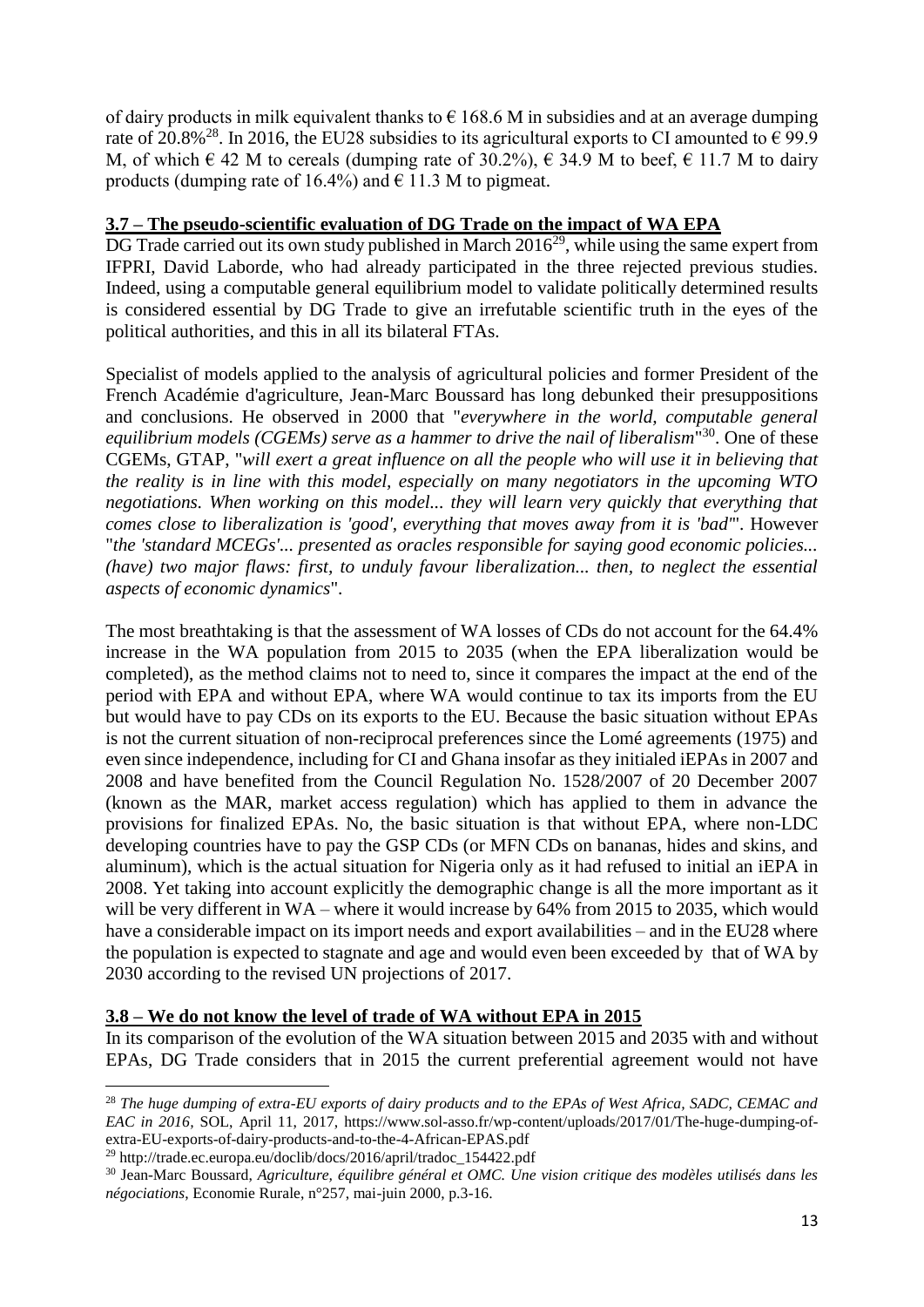of dairy products in milk equivalent thanks to  $\epsilon$  168.6 M in subsidies and at an average dumping rate of 20.8%<sup>28</sup>. In 2016, the EU28 subsidies to its agricultural exports to CI amounted to  $\epsilon$  99.9 M, of which  $\in$  42 M to cereals (dumping rate of 30.2%),  $\in$  34.9 M to beef,  $\in$  11.7 M to dairy products (dumping rate of 16.4%) and  $\epsilon$  11.3 M to pigmeat.

### **3.7 – The pseudo-scientific evaluation of DG Trade on the impact of WA EPA**

DG Trade carried out its own study published in March  $2016^{29}$ , while using the same expert from IFPRI, David Laborde, who had already participated in the three rejected previous studies. Indeed, using a computable general equilibrium model to validate politically determined results is considered essential by DG Trade to give an irrefutable scientific truth in the eyes of the political authorities, and this in all its bilateral FTAs.

Specialist of models applied to the analysis of agricultural policies and former President of the French Académie d'agriculture, Jean-Marc Boussard has long debunked their presuppositions and conclusions. He observed in 2000 that "*everywhere in the world, computable general equilibrium models (CGEMs) serve as a hammer to drive the nail of liberalism*" <sup>30</sup>. One of these CGEMs, GTAP, "*will exert a great influence on all the people who will use it in believing that the reality is in line with this model, especially on many negotiators in the upcoming WTO negotiations. When working on this model... they will learn very quickly that everything that comes close to liberalization is 'good', everything that moves away from it is 'bad'*". However "*the 'standard MCEGs'... presented as oracles responsible for saying good economic policies... (have) two major flaws: first, to unduly favour liberalization... then, to neglect the essential aspects of economic dynamics*".

The most breathtaking is that the assessment of WA losses of CDs do not account for the 64.4% increase in the WA population from 2015 to 2035 (when the EPA liberalization would be completed), as the method claims not to need to, since it compares the impact at the end of the period with EPA and without EPA, where WA would continue to tax its imports from the EU but would have to pay CDs on its exports to the EU. Because the basic situation without EPAs is not the current situation of non-reciprocal preferences since the Lomé agreements (1975) and even since independence, including for CI and Ghana insofar as they initialed iEPAs in 2007 and 2008 and have benefited from the Council Regulation No. 1528/2007 of 20 December 2007 (known as the MAR, market access regulation) which has applied to them in advance the provisions for finalized EPAs. No, the basic situation is that without EPA, where non-LDC developing countries have to pay the GSP CDs (or MFN CDs on bananas, hides and skins, and aluminum), which is the actual situation for Nigeria only as it had refused to initial an iEPA in 2008. Yet taking into account explicitly the demographic change is all the more important as it will be very different in WA – where it would increase by 64% from 2015 to 2035, which would have a considerable impact on its import needs and export availabilities – and in the EU28 where the population is expected to stagnate and age and would even been exceeded by that of WA by 2030 according to the revised UN projections of 2017.

## **3.8 – We do not know the level of trade of WA without EPA in 2015**

In its comparison of the evolution of the WA situation between 2015 and 2035 with and without EPAs, DG Trade considers that in 2015 the current preferential agreement would not have

 $\overline{a}$ 

<sup>28</sup> *The huge dumping of extra-EU exports of dairy products and to the EPAs of West Africa, SADC, CEMAC and EAC in 2016,* SOL, April 11, 2017, https://www.sol-asso.fr/wp-content/uploads/2017/01/The-huge-dumping-ofextra-EU-exports-of-dairy-products-and-to-the-4-African-EPAS.pdf

<sup>29</sup> http://trade.ec.europa.eu/doclib/docs/2016/april/tradoc\_154422.pdf

<sup>30</sup> Jean-Marc Boussard, *Agriculture, équilibre général et OMC. Une vision critique des modèles utilisés dans les négociations*, Economie Rurale, n°257, mai-juin 2000, p.3-16.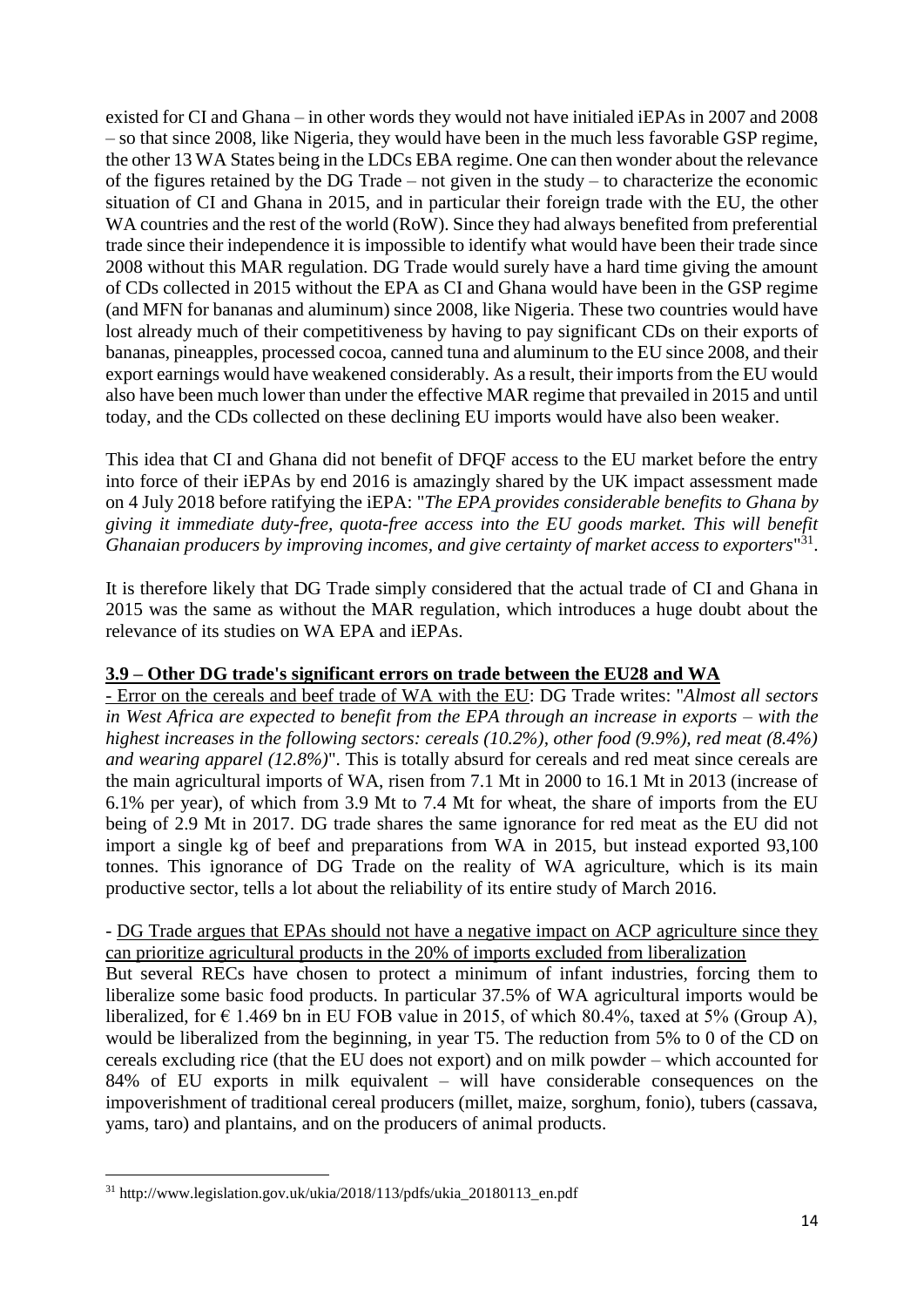existed for CI and Ghana – in other words they would not have initialed iEPAs in 2007 and 2008 – so that since 2008, like Nigeria, they would have been in the much less favorable GSP regime, the other 13 WA States being in the LDCs EBA regime. One can then wonder about the relevance of the figures retained by the DG Trade – not given in the study – to characterize the economic situation of CI and Ghana in 2015, and in particular their foreign trade with the EU, the other WA countries and the rest of the world (RoW). Since they had always benefited from preferential trade since their independence it is impossible to identify what would have been their trade since 2008 without this MAR regulation. DG Trade would surely have a hard time giving the amount of CDs collected in 2015 without the EPA as CI and Ghana would have been in the GSP regime (and MFN for bananas and aluminum) since 2008, like Nigeria. These two countries would have lost already much of their competitiveness by having to pay significant CDs on their exports of bananas, pineapples, processed cocoa, canned tuna and aluminum to the EU since 2008, and their export earnings would have weakened considerably. As a result, their imports from the EU would also have been much lower than under the effective MAR regime that prevailed in 2015 and until today, and the CDs collected on these declining EU imports would have also been weaker.

This idea that CI and Ghana did not benefit of DFQF access to the EU market before the entry into force of their iEPAs by end 2016 is amazingly shared by the UK impact assessment made on 4 July 2018 before ratifying the iEPA: "*The EPA provides considerable benefits to Ghana by giving it immediate duty-free, quota-free access into the EU goods market. This will benefit*  Ghanaian producers by improving incomes, and give certainty of market access to exporters"<sup>31</sup>.

It is therefore likely that DG Trade simply considered that the actual trade of CI and Ghana in 2015 was the same as without the MAR regulation, which introduces a huge doubt about the relevance of its studies on WA EPA and iEPAs.

## **3.9 – Other DG trade's significant errors on trade between the EU28 and WA**

- Error on the cereals and beef trade of WA with the EU: DG Trade writes: "*Almost all sectors in West Africa are expected to benefit from the EPA through an increase in exports – with the highest increases in the following sectors: cereals (10.2%), other food (9.9%), red meat (8.4%) and wearing apparel (12.8%)*". This is totally absurd for cereals and red meat since cereals are the main agricultural imports of WA, risen from 7.1 Mt in 2000 to 16.1 Mt in 2013 (increase of 6.1% per year), of which from 3.9 Mt to 7.4 Mt for wheat, the share of imports from the EU being of 2.9 Mt in 2017. DG trade shares the same ignorance for red meat as the EU did not import a single kg of beef and preparations from WA in 2015, but instead exported 93,100 tonnes. This ignorance of DG Trade on the reality of WA agriculture, which is its main productive sector, tells a lot about the reliability of its entire study of March 2016.

#### - DG Trade argues that EPAs should not have a negative impact on ACP agriculture since they can prioritize agricultural products in the 20% of imports excluded from liberalization

But several RECs have chosen to protect a minimum of infant industries, forcing them to liberalize some basic food products. In particular 37.5% of WA agricultural imports would be liberalized, for  $\epsilon$  1.469 bn in EU FOB value in 2015, of which 80.4%, taxed at 5% (Group A), would be liberalized from the beginning, in year T5. The reduction from 5% to 0 of the CD on cereals excluding rice (that the EU does not export) and on milk powder – which accounted for 84% of EU exports in milk equivalent – will have considerable consequences on the impoverishment of traditional cereal producers (millet, maize, sorghum, fonio), tubers (cassava, yams, taro) and plantains, and on the producers of animal products.

l <sup>31</sup> [http://www.legislation.gov.uk/ukia/2018/113/pdfs/ukia\\_20180113\\_en.pdf](http://www.legislation.gov.uk/ukia/2018/113/pdfs/ukia_20180113_en.pdf)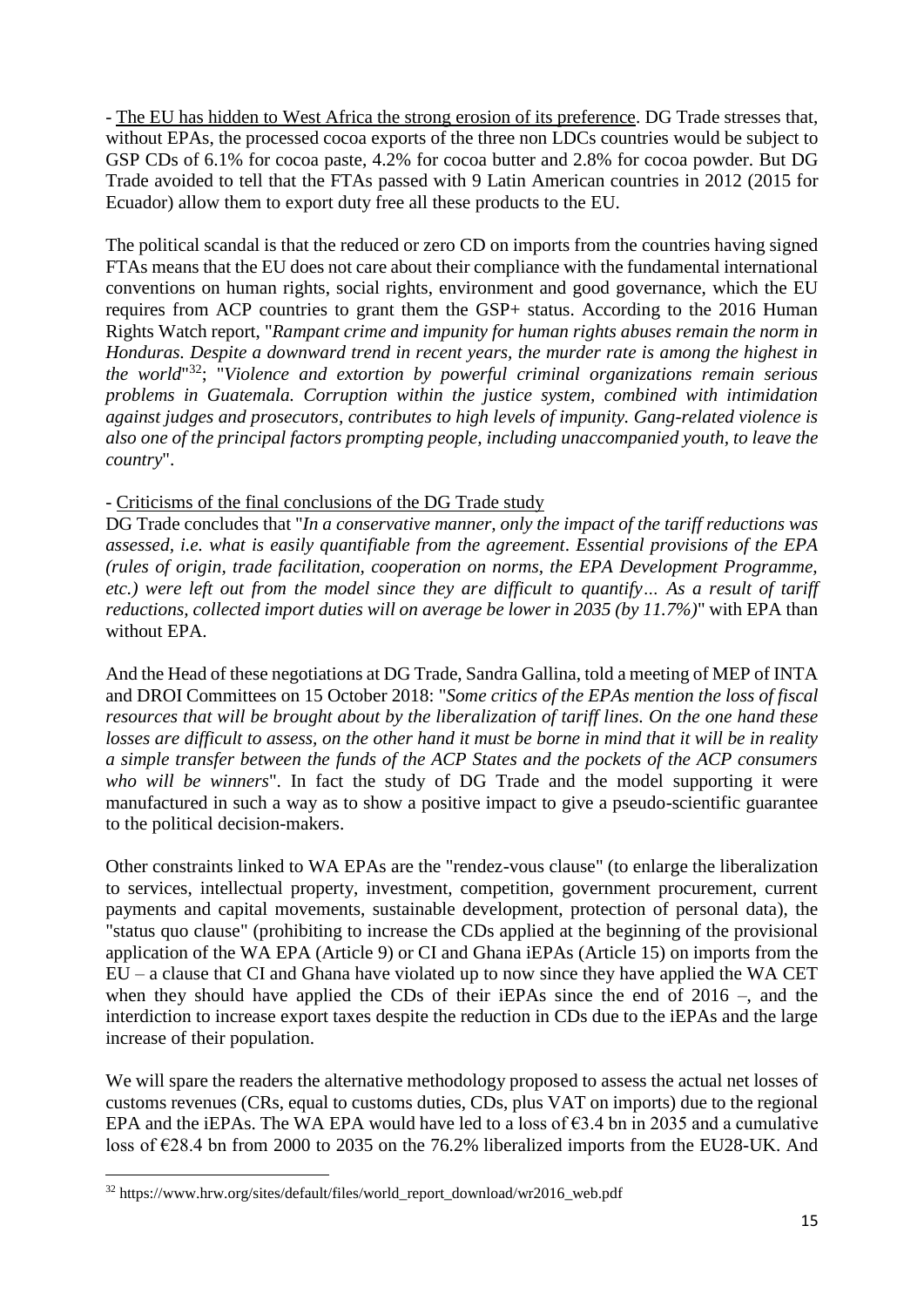- The EU has hidden to West Africa the strong erosion of its preference. DG Trade stresses that, without EPAs, the processed cocoa exports of the three non LDCs countries would be subject to GSP CDs of 6.1% for cocoa paste, 4.2% for cocoa butter and 2.8% for cocoa powder. But DG Trade avoided to tell that the FTAs passed with 9 Latin American countries in 2012 (2015 for Ecuador) allow them to export duty free all these products to the EU.

The political scandal is that the reduced or zero CD on imports from the countries having signed FTAs means that the EU does not care about their compliance with the fundamental international conventions on human rights, social rights, environment and good governance, which the EU requires from ACP countries to grant them the GSP+ status. According to the 2016 Human Rights Watch report, "*Rampant crime and impunity for human rights abuses remain the norm in Honduras. Despite a downward trend in recent years, the murder rate is among the highest in the world*" <sup>32</sup>; "*Violence and extortion by powerful criminal organizations remain serious problems in Guatemala. Corruption within the justice system, combined with intimidation against judges and prosecutors, contributes to high levels of impunity. Gang-related violence is also one of the principal factors prompting people, including unaccompanied youth, to leave the country*".

## - Criticisms of the final conclusions of the DG Trade study

DG Trade concludes that "*In a conservative manner, only the impact of the tariff reductions was assessed, i.e. what is easily quantifiable from the agreement*. *Essential provisions of the EPA (rules of origin, trade facilitation, cooperation on norms, the EPA Development Programme, etc.) were left out from the model since they are difficult to quantify… As a result of tariff reductions, collected import duties will on average be lower in 2035 (by 11.7%)*" with EPA than without EPA.

And the Head of these negotiations at DG Trade, Sandra Gallina, told a meeting of MEP of INTA and DROI Committees on 15 October 2018: "*Some critics of the EPAs mention the loss of fiscal resources that will be brought about by the liberalization of tariff lines. On the one hand these losses are difficult to assess, on the other hand it must be borne in mind that it will be in reality a simple transfer between the funds of the ACP States and the pockets of the ACP consumers who will be winners*". In fact the study of DG Trade and the model supporting it were manufactured in such a way as to show a positive impact to give a pseudo-scientific guarantee to the political decision-makers.

Other constraints linked to WA EPAs are the "rendez-vous clause" (to enlarge the liberalization to services, intellectual property, investment, competition, government procurement, current payments and capital movements, sustainable development, protection of personal data), the "status quo clause" (prohibiting to increase the CDs applied at the beginning of the provisional application of the WA EPA (Article 9) or CI and Ghana iEPAs (Article 15) on imports from the EU – a clause that CI and Ghana have violated up to now since they have applied the WA CET when they should have applied the CDs of their iEPAs since the end of 2016 –, and the interdiction to increase export taxes despite the reduction in CDs due to the iEPAs and the large increase of their population.

We will spare the readers the alternative methodology proposed to assess the actual net losses of customs revenues (CRs, equal to customs duties, CDs, plus VAT on imports) due to the regional EPA and the iEPAs. The WA EPA would have led to a loss of  $\epsilon$ 3.4 bn in 2035 and a cumulative loss of €28.4 bn from 2000 to 2035 on the 76.2% liberalized imports from the EU28-UK. And

l

<sup>32</sup> https://www.hrw.org/sites/default/files/world\_report\_download/wr2016\_web.pdf